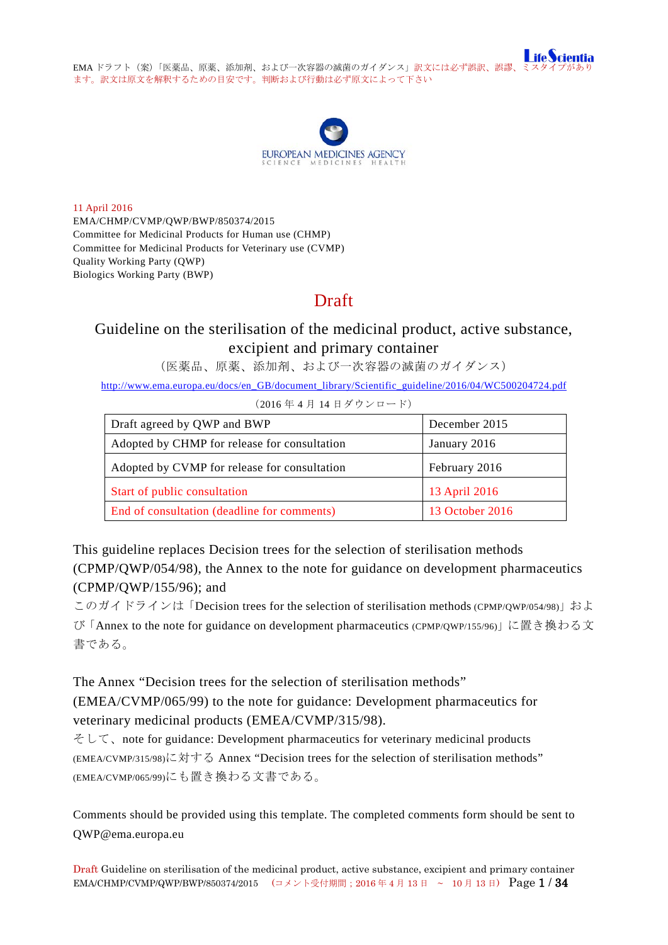



11 April 2016 EMA/CHMP/CVMP/QWP/BWP/850374/2015 Committee for Medicinal Products for Human use (CHMP) Committee for Medicinal Products for Veterinary use (CVMP) Quality Working Party (QWP) Biologics Working Party (BWP)

# Draft

# Guideline on the sterilisation of the medicinal product, active substance, excipient and primary container

(医薬品、原薬、添加剤、および一次容器の滅菌のガイダンス)

[http://www.ema.europa.eu/docs/en\\_GB/document\\_library/Scientific\\_guideline/2016/04/WC500204724.pdf](http://www.ema.europa.eu/docs/en_GB/document_library/Scientific_guideline/2016/04/WC500204724.pdf)

(2016 年 4 月 14 日ダウンロード)

| Draft agreed by QWP and BWP                  | December 2015   |
|----------------------------------------------|-----------------|
| Adopted by CHMP for release for consultation | January 2016    |
| Adopted by CVMP for release for consultation | February 2016   |
| Start of public consultation                 | 13 April 2016   |
| End of consultation (deadline for comments)  | 13 October 2016 |

This guideline replaces Decision trees for the selection of sterilisation methods (CPMP/QWP/054/98), the Annex to the note for guidance on development pharmaceutics (CPMP/QWP/155/96); and

このガイドラインは「Decision trees for the selection of sterilisation methods (CPMP/QWP/054/98)」およ び「Annex to the note for guidance on development pharmaceutics (CPMP/QWP/155/96)」に置き換わる文 書である。

The Annex "Decision trees for the selection of sterilisation methods" (EMEA/CVMP/065/99) to the note for guidance: Development pharmaceutics for

veterinary medicinal products (EMEA/CVMP/315/98). そして、note for guidance: Development pharmaceutics for veterinary medicinal products (EMEA/CVMP/315/98)に対する Annex "Decision trees for the selection of sterilisation methods"

(EMEA/CVMP/065/99)にも置き換わる文書である。

Comments should be provided using this template. The completed comments form should be sent to QWP@ema.europa.eu

Draft Guideline on sterilisation of the medicinal product, active substance, excipient and primary container EMA/CHMP/CVMP/QWP/BWP/850374/2015 (コメント受付期間; 2016年4月13日 ~ 10月13日) Page 1 / 34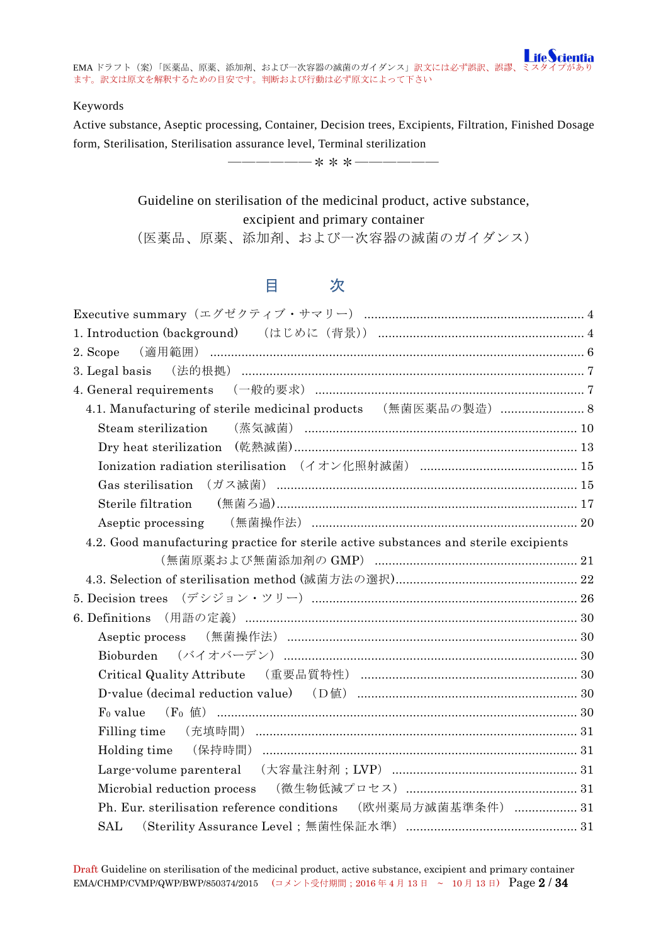#### Keywords

Active substance, Aseptic processing, Container, Decision trees, Excipients, Filtration, Finished Dosage form, Sterilisation, Sterilisation assurance level, Terminal sterilization

――――――\*\*\*――――――

Guideline on sterilisation of the medicinal product, active substance, excipient and primary container (医薬品、原薬、添加剤、および一次容器の滅菌のガイダンス)

# 目 次

| 4.1. Manufacturing of sterile medicinal products (無菌医薬品の製造)  8                        |  |
|---------------------------------------------------------------------------------------|--|
| Steam sterilization                                                                   |  |
|                                                                                       |  |
|                                                                                       |  |
|                                                                                       |  |
|                                                                                       |  |
|                                                                                       |  |
| 4.2. Good manufacturing practice for sterile active substances and sterile excipients |  |
|                                                                                       |  |
|                                                                                       |  |
|                                                                                       |  |
|                                                                                       |  |
|                                                                                       |  |
|                                                                                       |  |
| Critical Quality Attribute (重要品質特性) ………………………………………………………… 30                         |  |
|                                                                                       |  |
|                                                                                       |  |
|                                                                                       |  |
|                                                                                       |  |
|                                                                                       |  |
|                                                                                       |  |
| Ph. Eur. sterilisation reference conditions (欧州薬局方滅菌基準条件)  31                         |  |
|                                                                                       |  |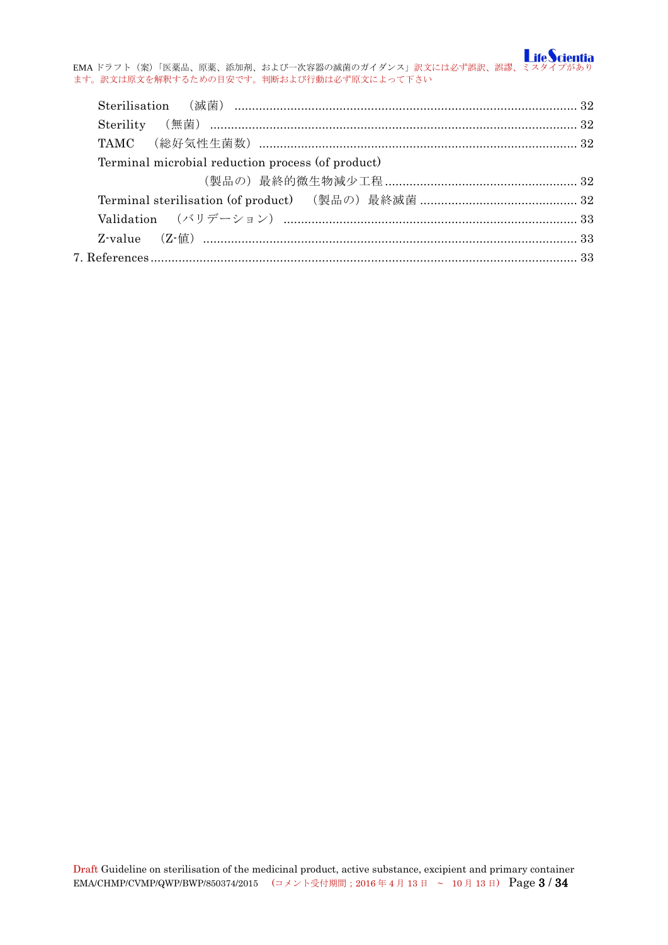EMA ドラフト(案)「医薬品、原薬、添加剤、および一次容器の滅菌のガイダンス」訳文には必ず誤訳、誤謬、ミスタイプがあり ます。訳文は原文を解釈するための目安です。判断および行動は必ず原文によって下さい

| Terminal microbial reduction process (of product) |  |
|---------------------------------------------------|--|
|                                                   |  |
|                                                   |  |
|                                                   |  |
|                                                   |  |
|                                                   |  |
|                                                   |  |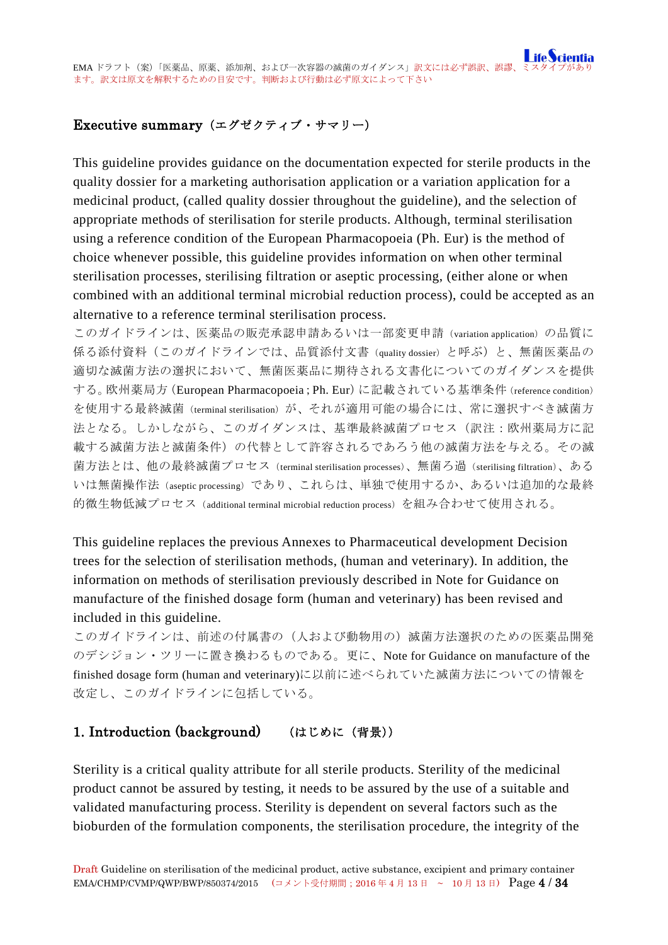# <span id="page-3-0"></span>Executive summary(エグゼクティブ・サマリー)

This guideline provides guidance on the documentation expected for sterile products in the quality dossier for a marketing authorisation application or a variation application for a medicinal product, (called quality dossier throughout the guideline), and the selection of appropriate methods of sterilisation for sterile products. Although, terminal sterilisation using a reference condition of the European Pharmacopoeia (Ph. Eur) is the method of choice whenever possible, this guideline provides information on when other terminal sterilisation processes, sterilising filtration or aseptic processing, (either alone or when combined with an additional terminal microbial reduction process), could be accepted as an alternative to a reference terminal sterilisation process.

このガイドラインは、医薬品の販売承認申請あるいは一部変更申請(variation application)の品質に 係る添付資料(このガイドラインでは、品質添付文書(quality dossier)と呼ぶ)と、無菌医薬品の 適切な滅菌方法の選択において、無菌医薬品に期待される文書化についてのガイダンスを提供 する。欧州薬局方(European Pharmacopoeia;Ph. Eur)に記載されている基準条件(reference condition) を使用する最終滅菌(terminal sterilisation)が、それが適用可能の場合には、常に選択すべき滅菌方 法となる。しかしながら、このガイダンスは、基準最終滅菌プロセス(訳注:欧州薬局方に記 載する滅菌方法と滅菌条件)の代替として許容されるであろう他の滅菌方法を与える。その滅 菌方法とは、他の最終滅菌プロセス(terminal sterilisation processes)、無菌ろ過(sterilising filtration)、ある いは無菌操作法(aseptic processing)であり、これらは、単独で使用するか、あるいは追加的な最終 的微生物低減プロセス(additional terminal microbial reduction process)を組み合わせて使用される。

This guideline replaces the previous Annexes to Pharmaceutical development Decision trees for the selection of sterilisation methods, (human and veterinary). In addition, the information on methods of sterilisation previously described in Note for Guidance on manufacture of the finished dosage form (human and veterinary) has been revised and included in this guideline.

このガイドラインは、前述の付属書の(人および動物用の)滅菌方法選択のための医薬品開発 のデシジョン・ツリーに置き換わるものである。更に、Note for Guidance on manufacture of the finished dosage form (human and veterinary)に以前に述べられていた滅菌方法についての情報を 改定し、このガイドラインに包括している。

# <span id="page-3-1"></span>1. Introduction (background) (はじめに (背景))

Sterility is a critical quality attribute for all sterile products. Sterility of the medicinal product cannot be assured by testing, it needs to be assured by the use of a suitable and validated manufacturing process. Sterility is dependent on several factors such as the bioburden of the formulation components, the sterilisation procedure, the integrity of the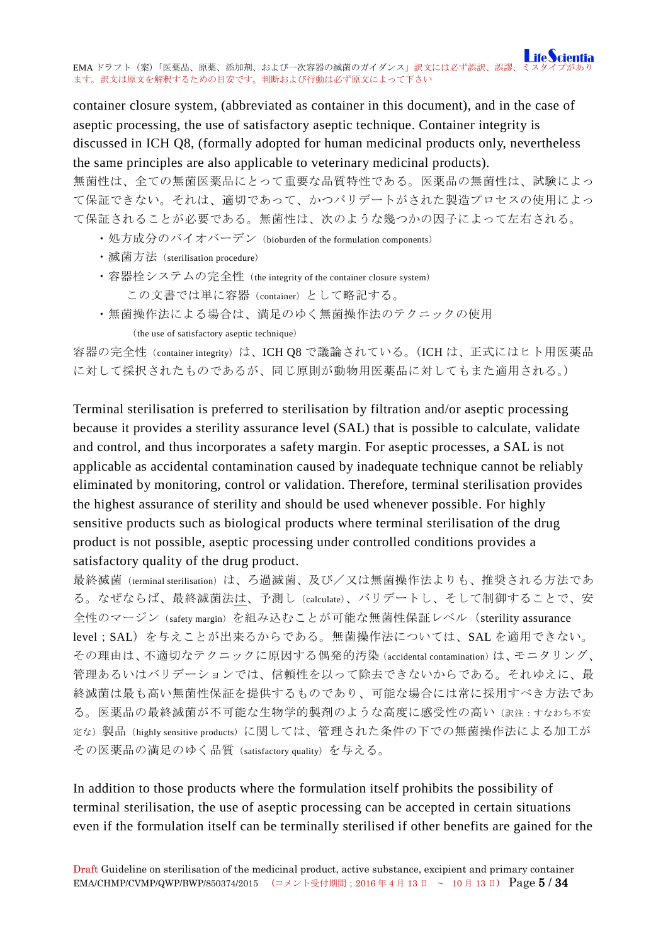container closure system, (abbreviated as container in this document), and in the case of aseptic processing, the use of satisfactory aseptic technique. Container integrity is discussed in ICH Q8, (formally adopted for human medicinal products only, nevertheless the same principles are also applicable to veterinary medicinal products).

無菌性は、全ての無菌医薬品にとって重要な品質特性である。医薬品の無菌性は、試験によっ て保証できない。それは、適切であって、かつバリデートがされた製造プロセスの使用によっ て保証されることが必要である。無菌性は、次のような幾つかの因子によって左右される。

- ・処方成分のバイオバーデン (bioburden of the formulation components)
- · 滅菌方法 (sterilisation procedure)
- ・容器栓システムの完全性 (the integrity of the container closure system) この文書では単に容器(container)として略記する。
- ・無菌操作法による場合は、満足のゆく無菌操作法のテクニックの使用 (the use of satisfactory aseptic technique)

容器の完全性 (container integrity) は、ICH Q8 で議論されている。(ICH は、正式にはヒト用医薬品 に対して採択されたものであるが、同じ原則が動物用医薬品に対してもまた適用される。)

Terminal sterilisation is preferred to sterilisation by filtration and/or aseptic processing because it provides a sterility assurance level (SAL) that is possible to calculate, validate and control, and thus incorporates a safety margin. For aseptic processes, a SAL is not applicable as accidental contamination caused by inadequate technique cannot be reliably eliminated by monitoring, control or validation. Therefore, terminal sterilisation provides the highest assurance of sterility and should be used whenever possible. For highly sensitive products such as biological products where terminal sterilisation of the drug product is not possible, aseptic processing under controlled conditions provides a satisfactory quality of the drug product.

最終滅菌(terminal sterilisation)は、ろ過滅菌、及び/又は無菌操作法よりも、推奨される方法であ る。なぜならば、最終滅菌法は、予測し(calculate)、バリデートし、そして制御することで、安 全性のマージン(safety margin)を組み込むことが可能な無菌性保証レベル(sterility assurance level;SAL)を与えことが出来るからである。無菌操作法については、SAL を適用できない。 その理由は、不適切なテクニックに原因する偶発的汚染(accidental contamination)は、モニタリング、 管理あるいはバリデーションでは、信頼性を以って除去できないからである。それゆえに、最 終滅菌は最も高い無菌性保証を提供するものであり、可能な場合には常に採用すべき方法であ る。医薬品の最終滅菌が不可能な生物学的製剤のような高度に感受性の高い(訳注:すなわち不安 定な)製品(highly sensitive products)に関しては、管理された条件の下での無菌操作法による加工が その医薬品の満足のゆく品質(satisfactory quality)を与える。

In addition to those products where the formulation itself prohibits the possibility of terminal sterilisation, the use of aseptic processing can be accepted in certain situations even if the formulation itself can be terminally sterilised if other benefits are gained for the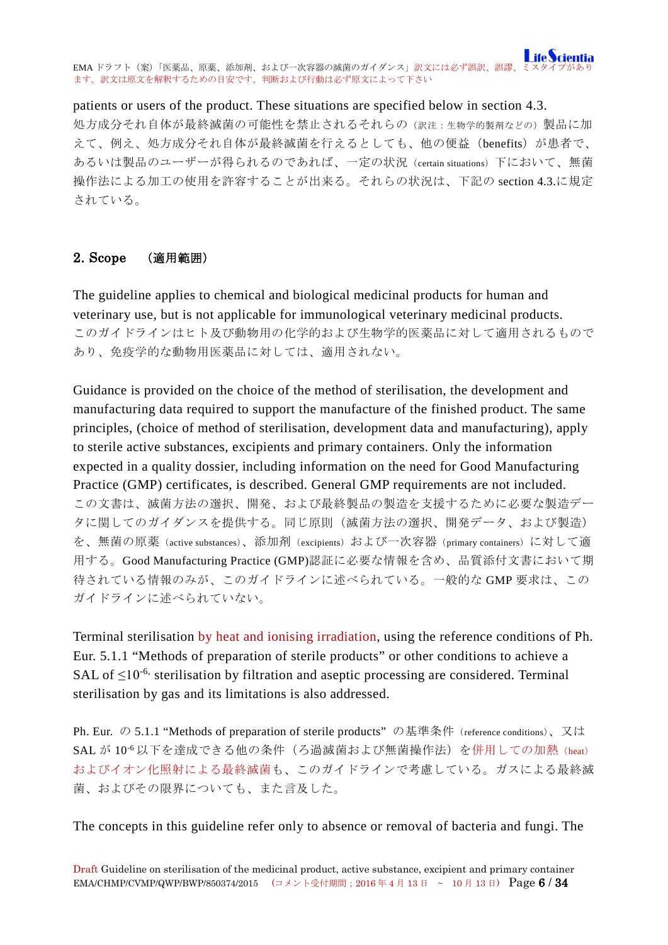### patients or users of the product. These situations are specified below in section 4.3.

処方成分それ自体が最終滅菌の可能性を禁止されるそれらの(訳注:生物学的製剤などの)製品に加 えて、例え、処方成分それ自体が最終滅菌を行えるとしても、他の便益(benefits)が患者で、 あるいは製品のユーザーが得られるのであれば、一定の状況(certain situations)下において、無菌 操作法による加工の使用を許容することが出来る。それらの状況は、下記の section 4.3.に規定 されている。

### <span id="page-5-0"></span>2. Scope (適用範囲)

The guideline applies to chemical and biological medicinal products for human and veterinary use, but is not applicable for immunological veterinary medicinal products. このガイドラインはヒト及び動物用の化学的および生物学的医薬品に対して適用されるもので あり、免疫学的な動物用医薬品に対しては、適用されない。

Guidance is provided on the choice of the method of sterilisation, the development and manufacturing data required to support the manufacture of the finished product. The same principles, (choice of method of sterilisation, development data and manufacturing), apply to sterile active substances, excipients and primary containers. Only the information expected in a quality dossier, including information on the need for Good Manufacturing Practice (GMP) certificates, is described. General GMP requirements are not included. この文書は、滅菌方法の選択、開発、および最終製品の製造を支援するために必要な製造デー タに関してのガイダンスを提供する。同じ原則(滅菌方法の選択、開発データ、および製造) を、無菌の原薬(active substances)、添加剤(excipients)および一次容器(primary containers)に対して適 用する。Good Manufacturing Practice (GMP)認証に必要な情報を含め、品質添付文書において期 待されている情報のみが、このガイドラインに述べられている。一般的な GMP 要求は、この ガイドラインに述べられていない。

Terminal sterilisation by heat and ionising irradiation, using the reference conditions of Ph. Eur. 5.1.1 "Methods of preparation of sterile products" or other conditions to achieve a SAL of  $\leq$ 10<sup>-6,</sup> sterilisation by filtration and aseptic processing are considered. Terminal sterilisation by gas and its limitations is also addressed.

Ph. Eur. の 5.1.1 "Methods of preparation of sterile products" の基準条件 (reference conditions)、又は SAL が 10<sup>-6</sup>以下を達成できる他の条件(ろ過滅菌および無菌操作法)を併用しての加熱(heat) およびイオン化照射による最終滅菌も、このガイドラインで考慮している。ガスによる最終滅 菌、およびその限界についても、また言及した。

The concepts in this guideline refer only to absence or removal of bacteria and fungi. The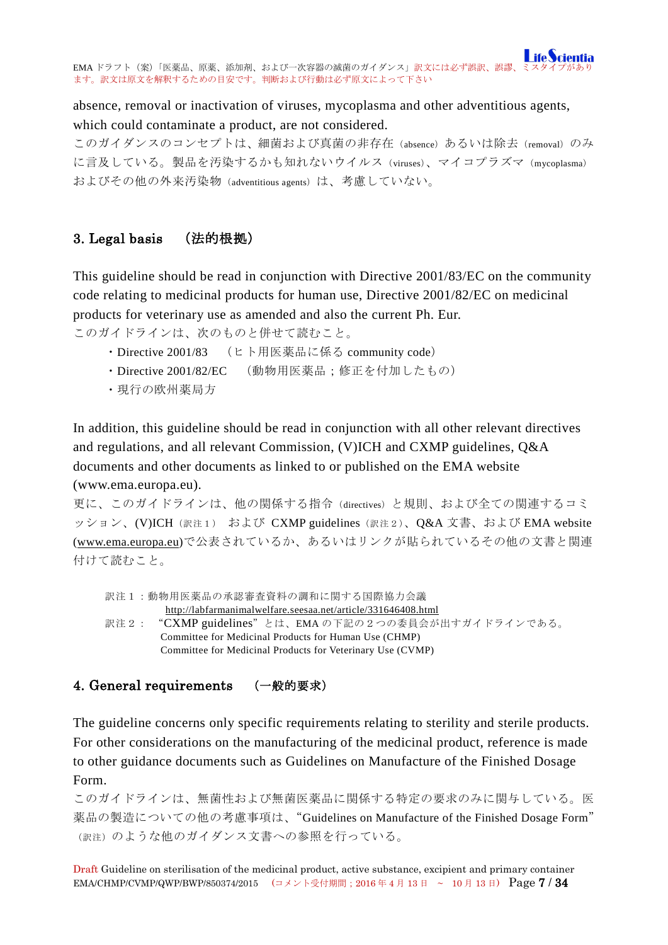absence, removal or inactivation of viruses, mycoplasma and other adventitious agents, which could contaminate a product, are not considered.

このガイダンスのコンセプトは、細菌および真菌の非存在(absence)あるいは除去(removal)のみ に言及している。製品を汚染するかも知れないウイルス(viruses)、マイコプラズマ(mycoplasma) およびその他の外来汚染物 (adventitious agents) は、考慮していない。

# <span id="page-6-0"></span>3. Legal basis (法的根拠)

This guideline should be read in conjunction with Directive 2001/83/EC on the community code relating to medicinal products for human use, Directive 2001/82/EC on medicinal products for veterinary use as amended and also the current Ph. Eur.

このガイドラインは、次のものと併せて読むこと。

- ・Directive 2001/83 (ヒト用医薬品に係る community code)
- ・Directive 2001/82/EC (動物用医薬品;修正を付加したもの)
- ・現行の欧州薬局方

In addition, this guideline should be read in conjunction with all other relevant directives and regulations, and all relevant Commission, (V)ICH and CXMP guidelines, Q&A documents and other documents as linked to or published on the EMA website

(www.ema.europa.eu).

更に、このガイドラインは、他の関係する指令(directives)と規則、および全ての関連するコミ ッション、(V)ICH (訳注1) および CXMP guidelines (訳注2)、O&A 文書、および EMA website [\(www.ema.europa.eu\)](http://www.ema.europa.eu/)で公表されているか、あるいはリンクが貼られているその他の文書と関連 付けて読むこと。

訳注1:動物用医薬品の承認審査資料の調和に関する国際協力会議 <http://labfarmanimalwelfare.seesaa.net/article/331646408.html> 訳注2: "CXMP guidelines"とは、EMA の下記の2つの委員会が出すガイドラインである。 Committee for Medicinal Products for Human Use (CHMP) Committee for Medicinal Products for Veterinary Use (CVMP)

# <span id="page-6-1"></span>4. General requirements (一般的要求)

The guideline concerns only specific requirements relating to sterility and sterile products. For other considerations on the manufacturing of the medicinal product, reference is made to other guidance documents such as Guidelines on Manufacture of the Finished Dosage Form.

このガイドラインは、無菌性および無菌医薬品に関係する特定の要求のみに関与している。医 薬品の製造についての他の考慮事項は、"Guidelines on Manufacture of the Finished Dosage Form" (訳注)のような他のガイダンス文書への参照を行っている。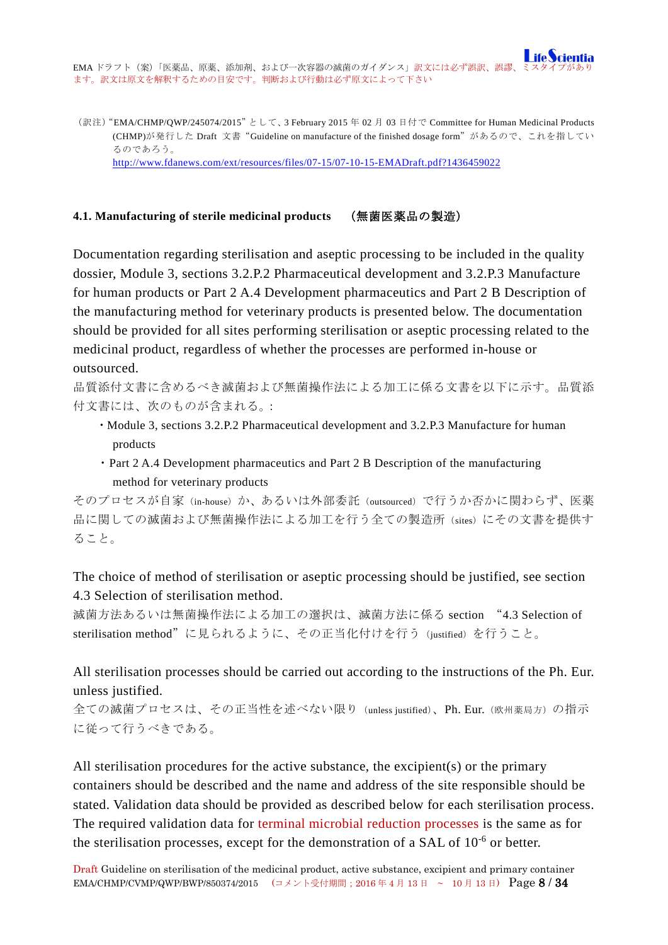(訳注)"EMA/CHMP/QWP/245074/2015"として、3 February 2015 年 02 月 03 日付で Committee for Human Medicinal Products (CHMP)が発行した Draft 文書"Guideline on manufacture of the finished dosage form"があるので、これを指してい るのであろう。 <http://www.fdanews.com/ext/resources/files/07-15/07-10-15-EMADraft.pdf?1436459022>

### <span id="page-7-0"></span>**4.1. Manufacturing of sterile medicinal products** (無菌医薬品の製造)

Documentation regarding sterilisation and aseptic processing to be included in the quality dossier, Module 3, sections 3.2.P.2 Pharmaceutical development and 3.2.P.3 Manufacture for human products or Part 2 A.4 Development pharmaceutics and Part 2 B Description of the manufacturing method for veterinary products is presented below. The documentation should be provided for all sites performing sterilisation or aseptic processing related to the medicinal product, regardless of whether the processes are performed in-house or outsourced.

品質添付文書に含めるべき滅菌および無菌操作法による加工に係る文書を以下に示す。品質添 付文書には、次のものが含まれる。:

- ・Module 3, sections 3.2.P.2 Pharmaceutical development and 3.2.P.3 Manufacture for human products
- ・Part 2 A.4 Development pharmaceutics and Part 2 B Description of the manufacturing method for veterinary products

そのプロセスが自家(in-house)か、あるいは外部委託(outsourced)で行うか否かに関わらず、医薬 品に関しての滅菌および無菌操作法による加工を行う全ての製造所 (sites) にその文書を提供す ること。

The choice of method of sterilisation or aseptic processing should be justified, see section 4.3 Selection of sterilisation method.

滅菌方法あるいは無菌操作法による加工の選択は、滅菌方法に係る section "4.3 Selection of sterilisation method"に見られるように、その正当化付けを行う(justified)を行うこと。

# All sterilisation processes should be carried out according to the instructions of the Ph. Eur. unless justified.

全ての滅菌プロセスは、その正当性を述べない限り (unless justified)、Ph. Eur. (欧州薬局方) の指示 に従って行うべきである。

All sterilisation procedures for the active substance, the excipient(s) or the primary containers should be described and the name and address of the site responsible should be stated. Validation data should be provided as described below for each sterilisation process. The required validation data for terminal microbial reduction processes is the same as for the sterilisation processes, except for the demonstration of a SAL of 10<sup>-6</sup> or better.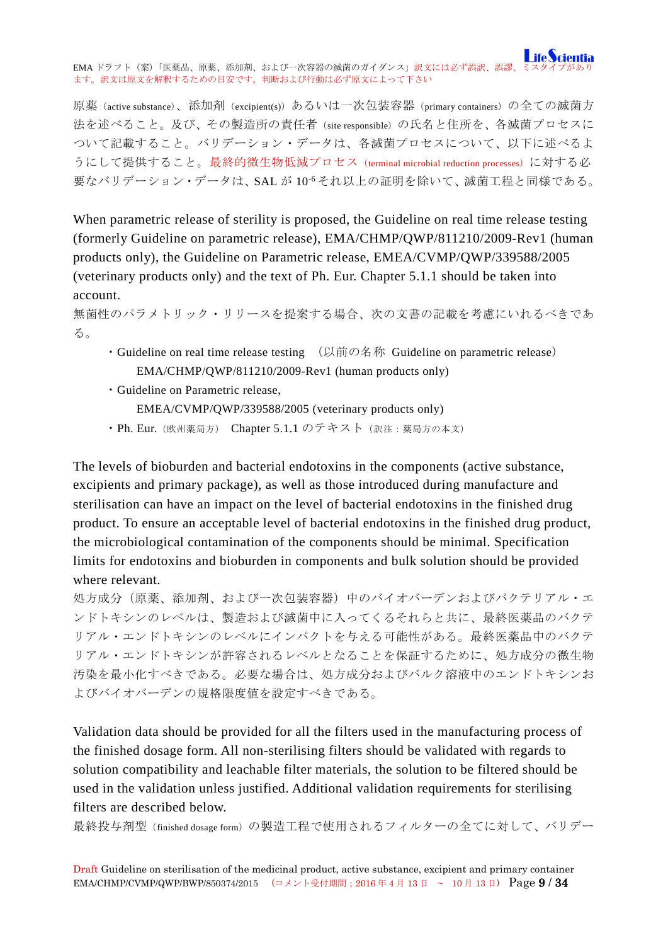原薬(active substance)、添加剤(excipient(s))あるいは一次包装容器(primary containers)の全ての滅菌方 法を述べること。及び、その製造所の責任者(site responsible)の氏名と住所を、各滅菌プロセスに ついて記載すること。バリデーション・データは、各滅菌プロセスについて、以下に述べるよ うにして提供すること。最終的微生物低減プロセス(terminal microbial reduction processes)に対する必 要なバリデーション·データは、SAL が 10<sup>-6</sup>それ以上の証明を除いて、滅菌工程と同様である。

When parametric release of sterility is proposed, the Guideline on real time release testing (formerly Guideline on parametric release), EMA/CHMP/QWP/811210/2009-Rev1 (human products only), the Guideline on Parametric release, EMEA/CVMP/QWP/339588/2005 (veterinary products only) and the text of Ph. Eur. Chapter 5.1.1 should be taken into account.

無菌性のパラメトリック・リリースを提案する場合、次の文書の記載を考慮にいれるべきであ る。

- ・Guideline on real time release testing (以前の名称 Guideline on parametric release) EMA/CHMP/QWP/811210/2009-Rev1 (human products only)
- ・Guideline on Parametric release, EMEA/CVMP/QWP/339588/2005 (veterinary products only) ・Ph. Eur.(欧州薬局方) Chapter 5.1.1 のテキスト(訳注:薬局方の本文)

The levels of bioburden and bacterial endotoxins in the components (active substance, excipients and primary package), as well as those introduced during manufacture and sterilisation can have an impact on the level of bacterial endotoxins in the finished drug product. To ensure an acceptable level of bacterial endotoxins in the finished drug product, the microbiological contamination of the components should be minimal. Specification limits for endotoxins and bioburden in components and bulk solution should be provided where relevant.

処方成分(原薬、添加剤、および一次包装容器)中のバイオバーデンおよびバクテリアル・エ ンドトキシンのレベルは、製造および滅菌中に入ってくるそれらと共に、最終医薬品のバクテ リアル・エンドトキシンのレベルにインパクトを与える可能性がある。最終医薬品中のバクテ リアル・エンドトキシンが許容されるレベルとなることを保証するために、処方成分の微生物 汚染を最小化すべきである。必要な場合は、処方成分およびバルク溶液中のエンドトキシンお よびバイオバーデンの規格限度値を設定すべきである。

Validation data should be provided for all the filters used in the manufacturing process of the finished dosage form. All non-sterilising filters should be validated with regards to solution compatibility and leachable filter materials, the solution to be filtered should be used in the validation unless justified. Additional validation requirements for sterilising filters are described below.

最終投与剤型(finished dosage form)の製造工程で使用されるフィルターの全てに対して、バリデー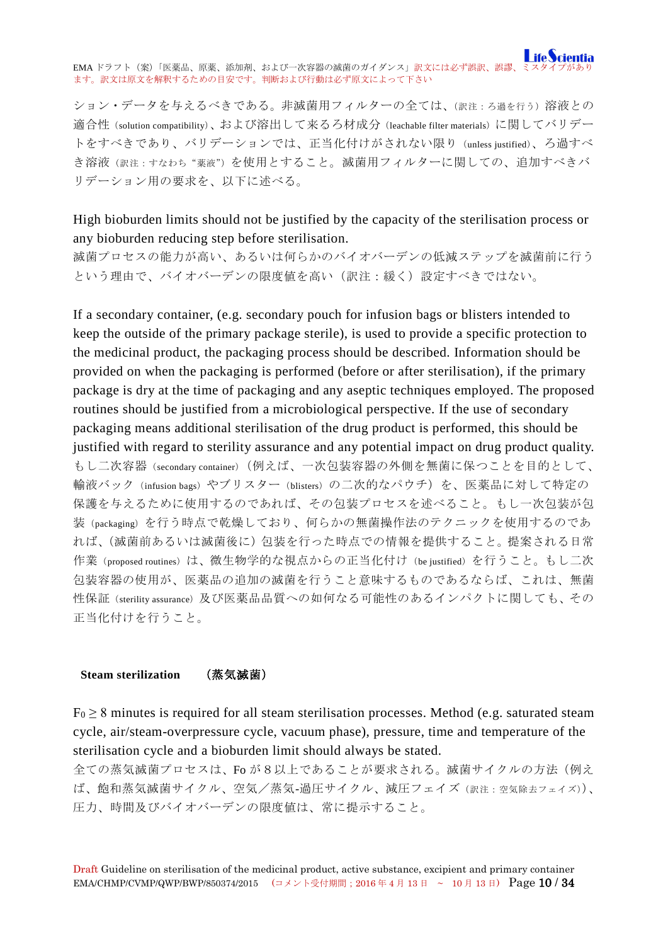ション・データを与えるべきである。非滅菌用フィルターの全ては、(訳注:ろ過を行う)溶液との 適合性(solution compatibility)、および溶出して来るろ材成分(leachable filter materials)に関してバリデー トをすべきであり、バリデーションでは、正当化付けがされない限り(unless justified)、ろ過すべ き溶液(訳注:すなわち"薬液")を使用とすること。滅菌用フィルターに関しての、追加すべきバ リデーション用の要求を、以下に述べる。

High bioburden limits should not be justified by the capacity of the sterilisation process or any bioburden reducing step before sterilisation.

滅菌プロセスの能力が高い、あるいは何らかのバイオバーデンの低減ステップを滅菌前に行う という理由で、バイオバーデンの限度値を高い(訳注:緩く)設定すべきではない。

If a secondary container, (e.g. secondary pouch for infusion bags or blisters intended to keep the outside of the primary package sterile), is used to provide a specific protection to the medicinal product, the packaging process should be described. Information should be provided on when the packaging is performed (before or after sterilisation), if the primary package is dry at the time of packaging and any aseptic techniques employed. The proposed routines should be justified from a microbiological perspective. If the use of secondary packaging means additional sterilisation of the drug product is performed, this should be justified with regard to sterility assurance and any potential impact on drug product quality. もし二次容器(secondary container)(例えば、一次包装容器の外側を無菌に保つことを目的として、 輸液バック(infusion bags)やブリスター(blisters)の二次的なパウチ)を、医薬品に対して特定の 保護を与えるために使用するのであれば、その包装プロセスを述べること。もし一次包装が包 装(packaging)を行う時点で乾燥しており、何らかの無菌操作法のテクニックを使用するのであ れば、(滅菌前あるいは滅菌後に)包装を行った時点での情報を提供すること。提案される日常 作業(proposed routines)は、微生物学的な視点からの正当化付け(be justified)を行うこと。もし二次 包装容器の使用が、医薬品の追加の滅菌を行うこと意味するものであるならば、これは、無菌 性保証(sterility assurance)及び医薬品品質への如何なる可能性のあるインパクトに関しても、その 正当化付けを行うこと。

### <span id="page-9-0"></span>**Steam sterilization** (蒸気滅菌)

 $F_0 \geq 8$  minutes is required for all steam sterilisation processes. Method (e.g. saturated steam cycle, air/steam-overpressure cycle, vacuum phase), pressure, time and temperature of the sterilisation cycle and a bioburden limit should always be stated.

全ての蒸気滅菌プロセスは、Fo が8以上であることが要求される。滅菌サイクルの方法(例え ば、飽和蒸気滅菌サイクル、空気/蒸気-過圧サイクル、減圧フェイズ(訳注:空気除去フェイズ))、 圧力、時間及びバイオバーデンの限度値は、常に提示すること。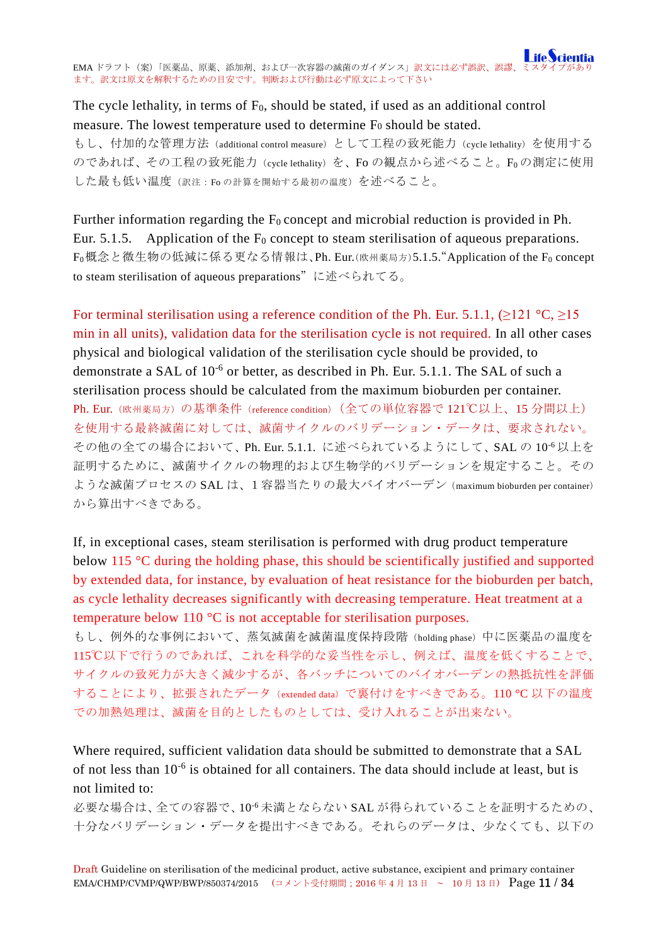# The cycle lethality, in terms of  $F_0$ , should be stated, if used as an additional control measure. The lowest temperature used to determine F<sub>0</sub> should be stated.

もし、付加的な管理方法 (additional control measure) として工程の致死能力 (cycle lethality) を使用する のであれば、その工程の致死能力(cycle lethality)を、Fo の観点から述べること。Foの測定に使用 した最も低い温度(訳注:Foの計算を開始する最初の温度)を述べること。

Further information regarding the  $F_0$  concept and microbial reduction is provided in Ph. Eur. 5.1.5. Application of the  $F_0$  concept to steam sterilisation of aqueous preparations. F<sub>0</sub>概念と微生物の低減に係る更なる情報は、Ph. Eur.(欧州薬局方)5.1.5. "Application of the F<sub>0</sub> concept to steam sterilisation of aqueous preparations"に述べられてる。

For terminal sterilisation using a reference condition of the Ph. Eur. 5.1.1, ( $>121$  °C,  $>15$ ) min in all units), validation data for the sterilisation cycle is not required. In all other cases physical and biological validation of the sterilisation cycle should be provided, to demonstrate a SAL of 10<sup>-6</sup> or better, as described in Ph. Eur. 5.1.1. The SAL of such a sterilisation process should be calculated from the maximum bioburden per container. Ph. Eur. (欧州薬局方)の基準条件 (reference condition) (全ての単位容器で 121℃以上、15 分間以上) を使用する最終滅菌に対しては、滅菌サイクルのバリデーション・データは、要求されない。 その他の全ての場合において、Ph. Eur. 5.1.1. に述べられているようにして、SAL の 10-6 以上を 証明するために、滅菌サイクルの物理的および生物学的バリデーションを規定すること。その ような滅菌プロセスの SAL は、1容器当たりの最大バイオバーデン(maximum bioburden per container) から算出すべきである。

If, in exceptional cases, steam sterilisation is performed with drug product temperature below 115 °C during the holding phase, this should be scientifically justified and supported by extended data, for instance, by evaluation of heat resistance for the bioburden per batch, as cycle lethality decreases significantly with decreasing temperature. Heat treatment at a temperature below 110 °C is not acceptable for sterilisation purposes.

もし、例外的な事例において、蒸気滅菌を滅菌温度保持段階(holding phase)中に医薬品の温度を 115℃以下で行うのであれば、これを科学的な妥当性を示し、例えば、温度を低くすることで、 サイクルの致死力が大きく減少するが、各バッチについてのバイオバーデンの熱抵抗性を評価 することにより、拡張されたデータ(extended data)で裏付けをすべきである。110 °C 以下の温度 での加熱処理は、滅菌を目的としたものとしては、受け入れることが出来ない。

Where required, sufficient validation data should be submitted to demonstrate that a SAL of not less than 10-6 is obtained for all containers. The data should include at least, but is not limited to:

必要な場合は、全ての容器で、10-6 未満とならない SAL が得られていることを証明するための、 十分なバリデーション・データを提出すべきである。それらのデータは、少なくても、以下の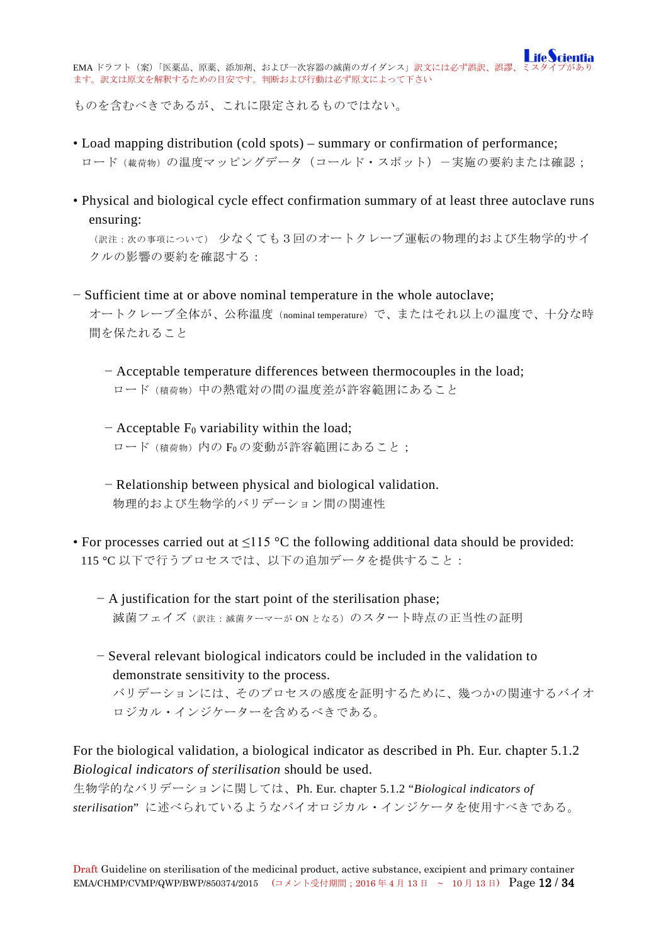ものを含むべきであるが、これに限定されるものではない。

- Load mapping distribution (cold spots) summary or confirmation of performance; ロード(載荷物)の温度マッピングデータ(コールド・スポット)-実施の要約または確認;
- Physical and biological cycle effect confirmation summary of at least three autoclave runs ensuring:

(訳注:次の事項について) 少なくても3回のオートクレーブ運転の物理的および生物学的サイ クルの影響の要約を確認する:

− Sufficient time at or above nominal temperature in the whole autoclave; オートクレーブ全体が、公称温度(nominal temperature)で、またはそれ以上の温度で、十分な時 間を保たれること

− Acceptable temperature differences between thermocouples in the load; ロード(積荷物)中の熱電対の間の温度差が許容範囲にあること

− Acceptable F0 variability within the load; ロード (積荷物)内の Foの変動が許容範囲にあること;

− Relationship between physical and biological validation. 物理的および生物学的バリデーション間の関連性

- For processes carried out at  $\leq$ 115 °C the following additional data should be provided: 115 °C 以下で行うプロセスでは、以下の追加データを提供すること:
	- − A justification for the start point of the sterilisation phase; 滅菌フェイズ (訳注: 滅菌ターマーが ON となる)のスタート時点の正当性の証明
	- − Several relevant biological indicators could be included in the validation to demonstrate sensitivity to the process.

バリデーションには、そのプロセスの感度を証明するために、幾つかの関連するバイオ ロジカル・インジケーターを含めるべきである。

For the biological validation, a biological indicator as described in Ph. Eur. chapter 5.1.2 *Biological indicators of sterilisation* should be used.

生物学的なバリデーションに関しては、Ph. Eur. chapter 5.1.2 "*Biological indicators of sterilisation*" に述べられているようなバイオロジカル・インジケータを使用すべきである。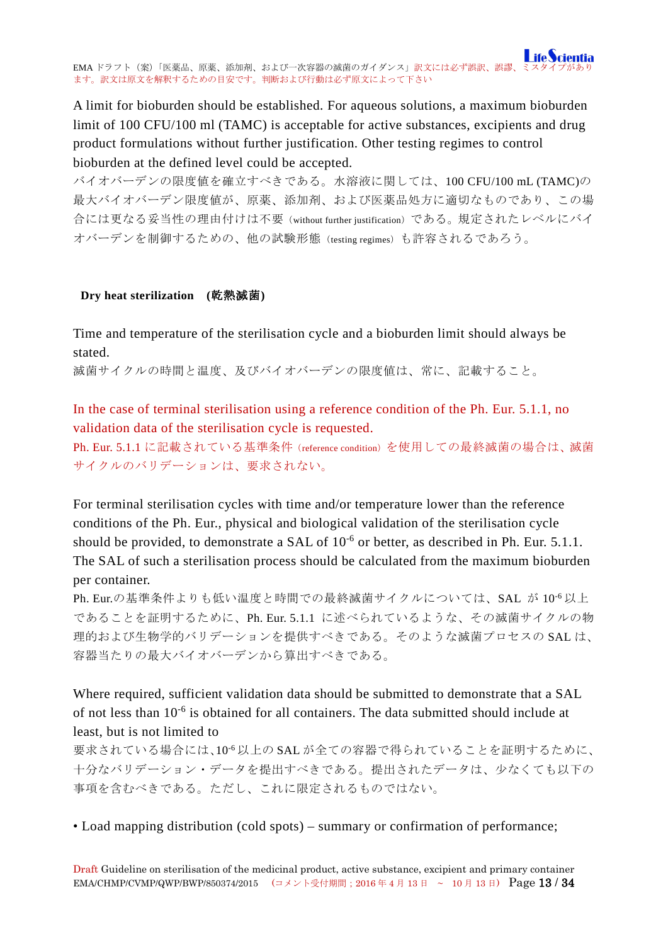A limit for bioburden should be established. For aqueous solutions, a maximum bioburden limit of 100 CFU/100 ml (TAMC) is acceptable for active substances, excipients and drug product formulations without further justification. Other testing regimes to control bioburden at the defined level could be accepted.

バイオバーデンの限度値を確立すべきである。水溶液に関しては、100 CFU/100 mL (TAMC)の 最大バイオバーデン限度値が、原薬、添加剤、および医薬品処方に適切なものであり、この場 合には更なる妥当性の理由付けは不要(without further justification)である。規定されたレベルにバイ オバーデンを制御するための、他の試験形態(testing regimes)も許容されるであろう。

### <span id="page-12-0"></span>**Dry heat sterilization (**乾熱滅菌**)**

Time and temperature of the sterilisation cycle and a bioburden limit should always be stated.

滅菌サイクルの時間と温度、及びバイオバーデンの限度値は、常に、記載すること。

In the case of terminal sterilisation using a reference condition of the Ph. Eur. 5.1.1, no validation data of the sterilisation cycle is requested.

Ph. Eur. 5.1.1 に記載されている基準条件(reference condition)を使用しての最終滅菌の場合は、滅菌 サイクルのバリデーションは、要求されない。

For terminal sterilisation cycles with time and/or temperature lower than the reference conditions of the Ph. Eur., physical and biological validation of the sterilisation cycle should be provided, to demonstrate a SAL of  $10^{-6}$  or better, as described in Ph. Eur. 5.1.1. The SAL of such a sterilisation process should be calculated from the maximum bioburden per container.

Ph. Eur.の基準条件よりも低い温度と時間での最終滅菌サイクルについては、SAL が 10-6 以上 であることを証明するために、Ph. Eur. 5.1.1 に述べられているような、その滅菌サイクルの物 理的および生物学的バリデーションを提供すべきである。そのような滅菌プロセスの SAL は、 容器当たりの最大バイオバーデンから算出すべきである。

Where required, sufficient validation data should be submitted to demonstrate that a SAL of not less than 10-6 is obtained for all containers. The data submitted should include at least, but is not limited to

要求されている場合には、10-6 以上の SAL が全ての容器で得られていることを証明するために、 十分なバリデーション・データを提出すべきである。提出されたデータは、少なくても以下の 事項を含むべきである。ただし、これに限定されるものではない。

• Load mapping distribution (cold spots) – summary or confirmation of performance;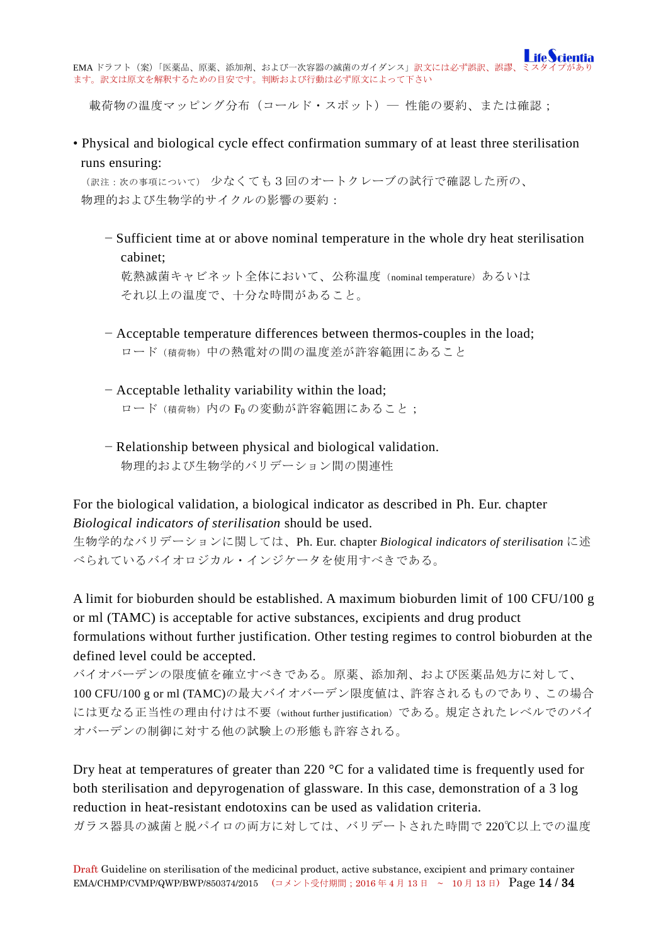

載荷物の温度マッピング分布(コールド・スポット)– 性能の要約、または確認;

• Physical and biological cycle effect confirmation summary of at least three sterilisation runs ensuring:

(訳注:次の事項について) 少なくても3回のオートクレーブの試行で確認した所の、 物理的および生物学的サイクルの影響の要約:

− Sufficient time at or above nominal temperature in the whole dry heat sterilisation cabinet; 乾熱滅菌キャビネット全体において、公称温度 (nominal temperature)あるいは

それ以上の温度で、十分な時間があること。

- − Acceptable temperature differences between thermos-couples in the load; ロード(積荷物)中の熱電対の間の温度差が許容範囲にあること
- − Acceptable lethality variability within the load; ロード (積荷物)内の Foの変動が許容範囲にあること;
- − Relationship between physical and biological validation. 物理的および生物学的バリデーション間の関連性

For the biological validation, a biological indicator as described in Ph. Eur. chapter *Biological indicators of sterilisation* should be used.

生物学的なバリデーションに関しては、Ph. Eur. chapter *Biological indicators of sterilisation* に述 べられているバイオロジカル・インジケータを使用すべきである。

A limit for bioburden should be established. A maximum bioburden limit of 100 CFU/100 g or ml (TAMC) is acceptable for active substances, excipients and drug product formulations without further justification. Other testing regimes to control bioburden at the defined level could be accepted.

バイオバーデンの限度値を確立すべきである。原薬、添加剤、および医薬品処方に対して、 100 CFU/100 g or ml (TAMC)の最大バイオバーデン限度値は、許容されるものであり、この場合 には更なる正当性の理由付けは不要(without further justification)である。規定されたレベルでのバイ オバーデンの制御に対する他の試験上の形態も許容される。

Dry heat at temperatures of greater than 220 °C for a validated time is frequently used for both sterilisation and depyrogenation of glassware. In this case, demonstration of a 3 log reduction in heat-resistant endotoxins can be used as validation criteria. ガラス器具の滅菌と脱パイロの両方に対しては、バリデートされた時間で 220℃以上での温度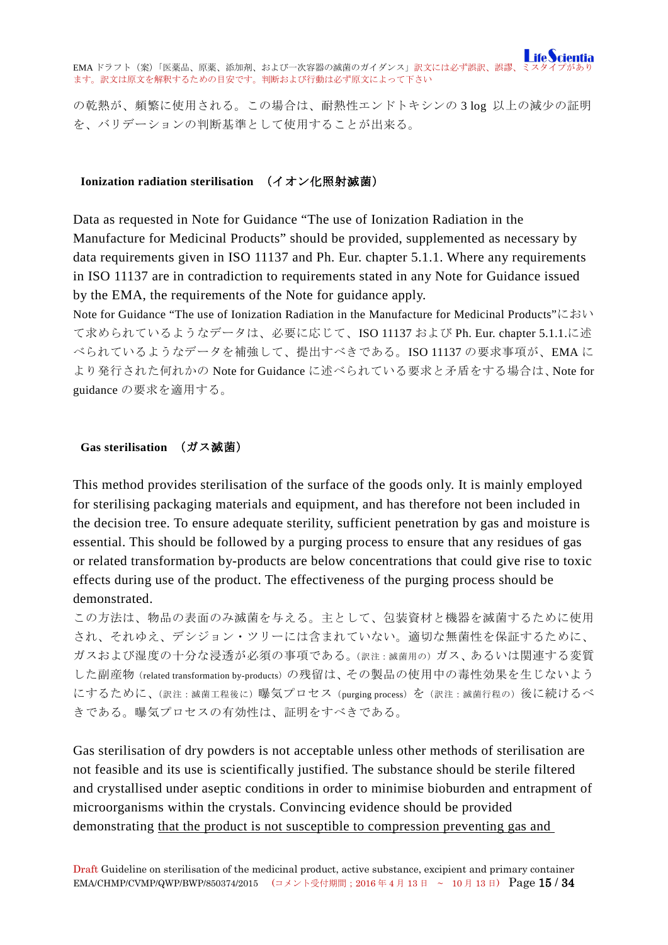の乾熱が、頻繁に使用される。この場合は、耐熱性エンドトキシンの 3 log 以上の減少の証明 を、バリデーションの判断基準として使用することが出来る。

### <span id="page-14-0"></span>**Ionization radiation sterilisation** (イオン化照射滅菌)

Data as requested in Note for Guidance "The use of Ionization Radiation in the Manufacture for Medicinal Products" should be provided, supplemented as necessary by data requirements given in ISO 11137 and Ph. Eur. chapter 5.1.1. Where any requirements in ISO 11137 are in contradiction to requirements stated in any Note for Guidance issued by the EMA, the requirements of the Note for guidance apply.

Note for Guidance "The use of Ionization Radiation in the Manufacture for Medicinal Products"におい て求められているようなデータは、必要に応じて、ISO 11137 および Ph. Eur. chapter 5.1.1.に述 べられているようなデータを補強して、提出すべきである。ISO 11137 の要求事項が、EMA に より発行された何れかの Note for Guidance に述べられている要求と矛盾をする場合は、Note for guidance の要求を適用する。

#### <span id="page-14-1"></span>**Gas sterilisation** (ガス滅菌)

This method provides sterilisation of the surface of the goods only. It is mainly employed for sterilising packaging materials and equipment, and has therefore not been included in the decision tree. To ensure adequate sterility, sufficient penetration by gas and moisture is essential. This should be followed by a purging process to ensure that any residues of gas or related transformation by-products are below concentrations that could give rise to toxic effects during use of the product. The effectiveness of the purging process should be demonstrated.

この方法は、物品の表面のみ滅菌を与える。主として、包装資材と機器を滅菌するために使用 され、それゆえ、デシジョン・ツリーには含まれていない。適切な無菌性を保証するために、 ガスおよび湿度の十分な浸透が必須の事項である。(訳注:滅菌用の)ガス、あるいは関連する変質 した副産物(related transformation by-products)の残留は、その製品の使用中の毒性効果を生じないよう にするために、(訳注:滅菌工程後に)曝気プロセス (purging process)を(訳注:滅菌行程の)後に続けるべ きである。曝気プロセスの有効性は、証明をすべきである。

Gas sterilisation of dry powders is not acceptable unless other methods of sterilisation are not feasible and its use is scientifically justified. The substance should be sterile filtered and crystallised under aseptic conditions in order to minimise bioburden and entrapment of microorganisms within the crystals. Convincing evidence should be provided demonstrating that the product is not susceptible to compression preventing gas and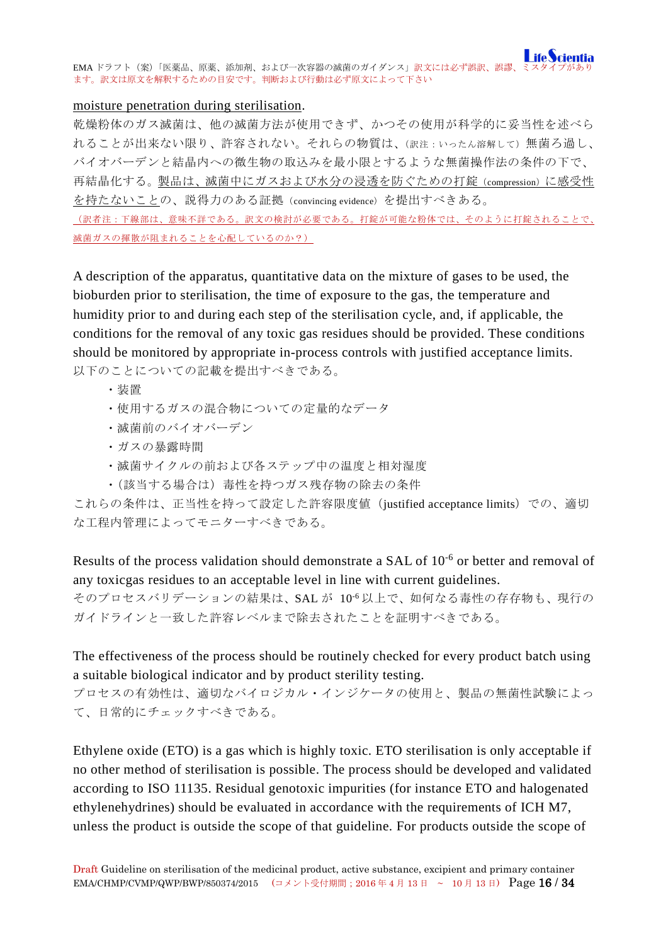### moisture penetration during sterilisation.

乾燥粉体のガス滅菌は、他の滅菌方法が使用できず、かつその使用が科学的に妥当性を述べら れることが出来ない限り、許容されない。それらの物質は、(訳注:いったん溶解して)無菌ろ過し、 バイオバーデンと結晶内への微生物の取込みを最小限とするような無菌操作法の条件の下で、 再結晶化する。製品は、滅菌中にガスおよび水分の浸透を防ぐための打錠(compression)に感受性 を持たないことの、説得力のある証拠(convincing evidence)を提出すべきある。

(訳者注:下線部は、意味不詳である。訳文の検討が必要である。打錠が可能な粉体では、そのように打錠されることで、 滅菌ガスの揮散が阻まれることを心配しているのか?)

A description of the apparatus, quantitative data on the mixture of gases to be used, the bioburden prior to sterilisation, the time of exposure to the gas, the temperature and humidity prior to and during each step of the sterilisation cycle, and, if applicable, the conditions for the removal of any toxic gas residues should be provided. These conditions should be monitored by appropriate in-process controls with justified acceptance limits. 以下のことについての記載を提出すべきである。

- ・装置
- ・使用するガスの混合物についての定量的なデータ
- ・滅菌前のバイオバーデン
- ・ガスの暴露時間
- ・滅菌サイクルの前および各ステップ中の温度と相対湿度
- ・(該当する場合は)毒性を持つガス残存物の除去の条件

これらの条件は、正当性を持って設定した許容限度値(justified acceptance limits)での、適切 な工程内管理によってモニターすべきである。

Results of the process validation should demonstrate a SAL of 10<sup>-6</sup> or better and removal of any toxicgas residues to an acceptable level in line with current guidelines.

そのプロセスバリデーションの結果は、SAL が 10-6 以上で、如何なる毒性の存存物も、現行の ガイドラインと一致した許容レベルまで除去されたことを証明すべきである。

The effectiveness of the process should be routinely checked for every product batch using a suitable biological indicator and by product sterility testing.

プロセスの有効性は、適切なバイロジカル・インジケータの使用と、製品の無菌性試験によっ て、日常的にチェックすべきである。

Ethylene oxide (ETO) is a gas which is highly toxic. ETO sterilisation is only acceptable if no other method of sterilisation is possible. The process should be developed and validated according to ISO 11135. Residual genotoxic impurities (for instance ETO and halogenated ethylenehydrines) should be evaluated in accordance with the requirements of ICH M7, unless the product is outside the scope of that guideline. For products outside the scope of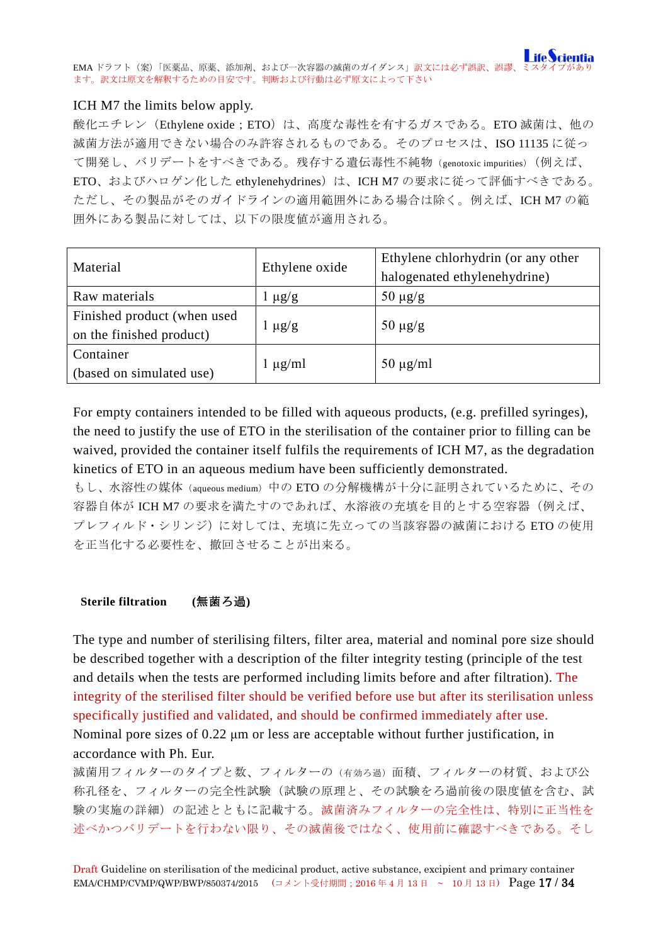

### ICH M7 the limits below apply.

酸化エチレン (Ethylene oxide; ETO)は、高度な毒性を有するガスである。ETO 滅菌は、他の 滅菌方法が適用できない場合のみ許容されるものである。そのプロセスは、ISO 11135 に従っ て開発し、バリデートをすべきである。残存する遺伝毒性不純物(genotoxic impurities)(例えば、 ETO、およびハロゲン化した ethylenehydrines)は、ICH M7 の要求に従って評価すべきである。 ただし、その製品がそのガイドラインの適用範囲外にある場合は除く。例えば、ICH M7 の範 囲外にある製品に対しては、以下の限度値が適用される。

| Material                    | Ethylene oxide | Ethylene chlorhydrin (or any other |  |
|-----------------------------|----------------|------------------------------------|--|
|                             |                | halogenated ethylenehydrine)       |  |
| Raw materials               | $1 \mu g/g$    | $50 \mu g/g$                       |  |
| Finished product (when used |                | $50 \mu g/g$                       |  |
| on the finished product)    | $\mu$ g/g      |                                    |  |
| Container                   |                |                                    |  |
| (based on simulated use)    | $1 \mu g/ml$   | $50 \mu g/ml$                      |  |

For empty containers intended to be filled with aqueous products, (e.g. prefilled syringes), the need to justify the use of ETO in the sterilisation of the container prior to filling can be waived, provided the container itself fulfils the requirements of ICH M7, as the degradation kinetics of ETO in an aqueous medium have been sufficiently demonstrated.

もし、水溶性の媒体(aqueous medium)中の ETO の分解機構が十分に証明されているために、その 容器自体が ICH M7 の要求を満たすのであれば、水溶液の充填を目的とする空容器(例えば、 プレフィルド・シリンジ)に対しては、充填に先立っての当該容器の滅菌における ETO の使用 を正当化する必要性を、撤回させることが出来る。

### <span id="page-16-0"></span>**Sterile filtration (**無菌ろ過**)**

The type and number of sterilising filters, filter area, material and nominal pore size should be described together with a description of the filter integrity testing (principle of the test and details when the tests are performed including limits before and after filtration). The integrity of the sterilised filter should be verified before use but after its sterilisation unless specifically justified and validated, and should be confirmed immediately after use. Nominal pore sizes of 0.22 μm or less are acceptable without further justification, in accordance with Ph. Eur.

滅菌用フィルターのタイプと数、フィルターの(有効ろ過)面積、フィルターの材質、および公 称孔径を、フィルターの完全性試験(試験の原理と、その試験をろ過前後の限度値を含む、試 験の実施の詳細)の記述とともに記載する。滅菌済みフィルターの完全性は、特別に正当性を 述べかつバリデートを行わない限り、その滅菌後ではなく、使用前に確認すべきである。そし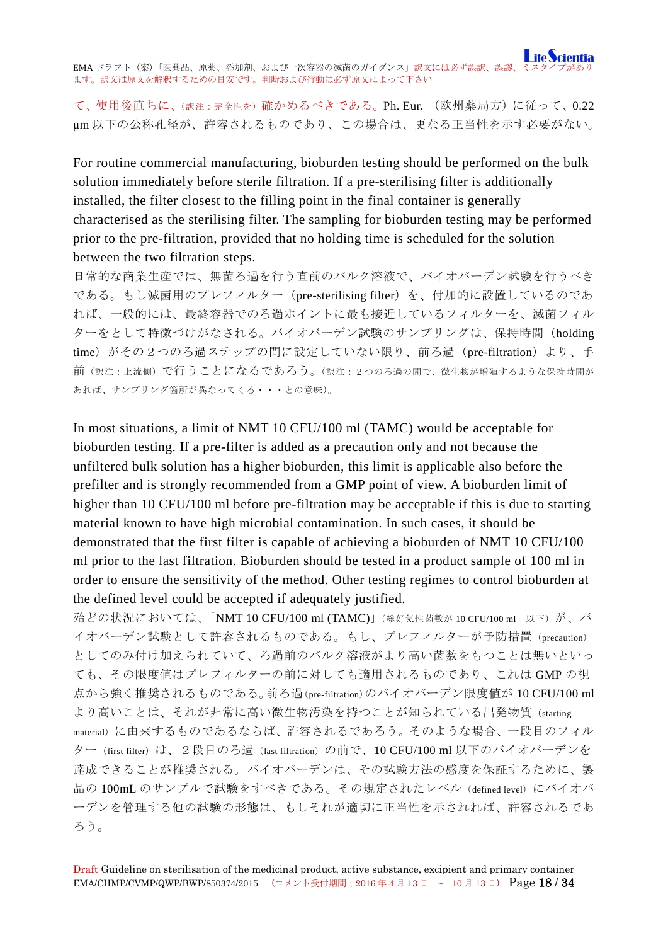て、使用後直ちに、(訳注:完全性を)確かめるべきである。Ph. Eur. (欧州薬局方)に従って、0.22 μm 以下の公称孔径が、許容されるものであり、この場合は、更なる正当性を示す必要がない。

For routine commercial manufacturing, bioburden testing should be performed on the bulk solution immediately before sterile filtration. If a pre-sterilising filter is additionally installed, the filter closest to the filling point in the final container is generally characterised as the sterilising filter. The sampling for bioburden testing may be performed prior to the pre-filtration, provided that no holding time is scheduled for the solution between the two filtration steps.

日常的な商業生産では、無菌ろ過を行う直前のバルク溶液で、バイオバーデン試験を行うべき である。もし滅菌用のプレフィルター(pre-sterilising filter)を、付加的に設置しているのであ れば、一般的には、最終容器でのろ過ポイントに最も接近しているフィルターを、滅菌フィル ターをとして特徴づけがなされる。バイオバーデン試験のサンプリングは、保持時間(holding time) がその2つのろ過ステップの間に設定していない限り、前ろ過 (pre-filtration) より、手 前(訳注:上流側)で行うことになるであろう。(訳注:2つのろ過の間で、微生物が増殖するような保持時間が あれば、サンプリング箇所が異なってくる・・・との意味)。

In most situations, a limit of NMT 10 CFU/100 ml (TAMC) would be acceptable for bioburden testing. If a pre-filter is added as a precaution only and not because the unfiltered bulk solution has a higher bioburden, this limit is applicable also before the prefilter and is strongly recommended from a GMP point of view. A bioburden limit of higher than 10 CFU/100 ml before pre-filtration may be acceptable if this is due to starting material known to have high microbial contamination. In such cases, it should be demonstrated that the first filter is capable of achieving a bioburden of NMT 10 CFU/100 ml prior to the last filtration. Bioburden should be tested in a product sample of 100 ml in order to ensure the sensitivity of the method. Other testing regimes to control bioburden at the defined level could be accepted if adequately justified.

殆どの状況においては、「NMT 10 CFU/100 ml (TAMC)」(総好気性菌数が <sup>10</sup> CFU/100 ml 以下)が、バ イオバーデン試験として許容されるものである。もし、プレフィルターが予防措置(precaution) としてのみ付け加えられていて、ろ過前のバルク溶液がより高い菌数をもつことは無いといっ ても、その限度値はプレフィルターの前に対しても適用されるものであり、これは GMP の視 点から強く推奨されるものである。前ろ過(pre-filtration)のバイオバーデン限度値が 10 CFU/100 ml より高いことは、それが非常に高い微生物汚染を持つことが知られている出発物質(starting material)に由来するものであるならば、許容されるであろう。そのような場合、一段目のフィル ター(first filter)は、2段目のろ過(last filtration)の前で、10 CFU/100 ml 以下のバイオバーデンを 達成できることが推奨される。バイオバーデンは、その試験方法の感度を保証するために、製 品の 100mL のサンプルで試験をすべきである。その規定されたレベル (defined level)にバイオバ ーデンを管理する他の試験の形態は、もしそれが適切に正当性を示されれば、許容されるであ ろう。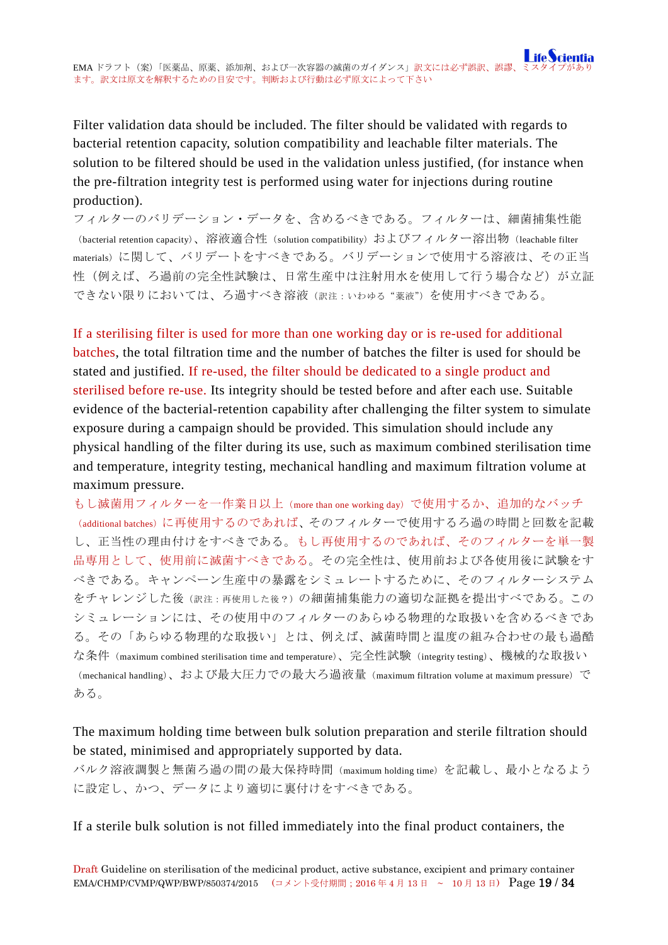Filter validation data should be included. The filter should be validated with regards to bacterial retention capacity, solution compatibility and leachable filter materials. The solution to be filtered should be used in the validation unless justified, (for instance when the pre-filtration integrity test is performed using water for injections during routine production).

フィルターのバリデーション・データを、含めるべきである。フィルターは、細菌捕集性能 (bacterial retention capacity)、溶液適合性(solution compatibility) およびフィルター溶出物(leachable filter materials)に関して、バリデートをすべきである。バリデーションで使用する溶液は、その正当 性(例えば、ろ過前の完全性試験は、日常生産中は注射用水を使用して行う場合など)が立証 できない限りにおいては、ろ過すべき溶液(訳注:いわゆる"薬液")を使用すべきである。

If a sterilising filter is used for more than one working day or is re-used for additional batches, the total filtration time and the number of batches the filter is used for should be stated and justified. If re-used, the filter should be dedicated to a single product and sterilised before re-use. Its integrity should be tested before and after each use. Suitable evidence of the bacterial-retention capability after challenging the filter system to simulate exposure during a campaign should be provided. This simulation should include any physical handling of the filter during its use, such as maximum combined sterilisation time and temperature, integrity testing, mechanical handling and maximum filtration volume at maximum pressure.

もし滅菌用フィルターを一作業日以上(more than one working day)で使用するか、追加的なバッチ (additional batches)に再使用するのであれば、そのフィルターで使用するろ過の時間と回数を記載 し、正当性の理由付けをすべきである。もし再使用するのであれば、そのフィルターを単一製 品専用として、使用前に滅菌すべきである。その完全性は、使用前および各使用後に試験をす べきである。キャンペーン生産中の暴露をシミュレートするために、そのフィルターシステム をチャレンジした後(訳注:再使用した後?)の細菌捕集能力の適切な証拠を提出すべである。この シミュレーションには、その使用中のフィルターのあらゆる物理的な取扱いを含めるべきであ る。その「あらゆる物理的な取扱い」とは、例えば、滅菌時間と温度の組み合わせの最も過酷 な条件(maximum combined sterilisation time and temperature)、完全性試験(integrity testing)、機械的な取扱い (mechanical handling)、および最大圧力での最大ろ過液量(maximum filtration volume at maximum pressure)で ある。

# The maximum holding time between bulk solution preparation and sterile filtration should be stated, minimised and appropriately supported by data.

バルク溶液調製と無菌ろ過の間の最大保持時間(maximum holding time)を記載し、最小となるよう に設定し、かつ、データにより適切に裏付けをすべきである。

If a sterile bulk solution is not filled immediately into the final product containers, the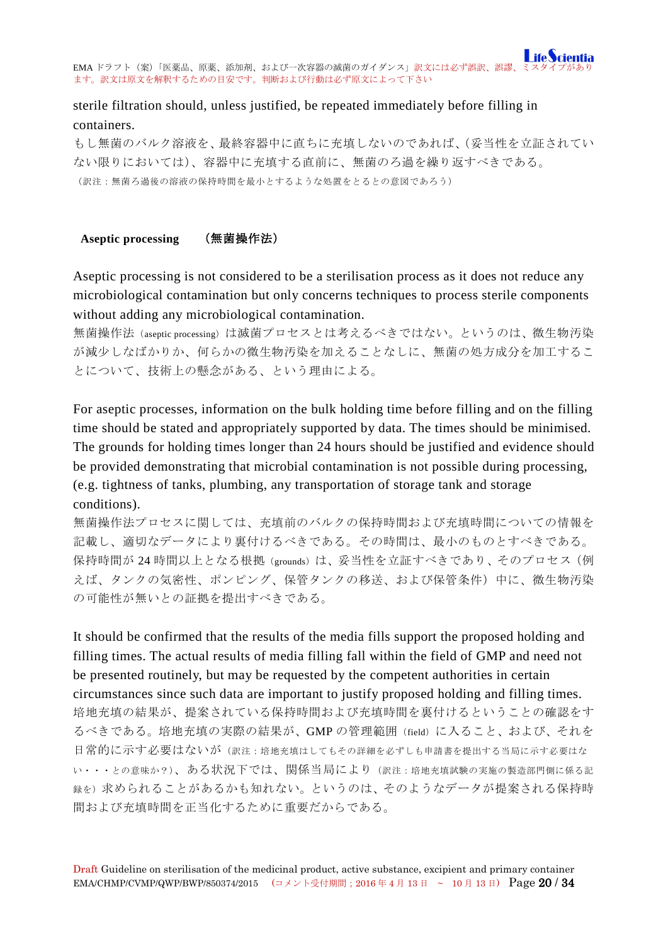# sterile filtration should, unless justified, be repeated immediately before filling in containers.

もし無菌のバルク溶液を、最終容器中に直ちに充填しないのであれば、(妥当性を立証されてい ない限りにおいては)、容器中に充填する直前に、無菌のろ過を繰り返すべきである。 (訳注:無菌ろ過後の溶液の保持時間を最小とするような処置をとるとの意図であろう)

### <span id="page-19-0"></span>**Aseptic processing** (無菌操作法)

Aseptic processing is not considered to be a sterilisation process as it does not reduce any microbiological contamination but only concerns techniques to process sterile components without adding any microbiological contamination.

無菌操作法 (aseptic processing)は滅菌プロセスとは考えるべきではない。というのは、微生物汚染 が減少しなばかりか、何らかの微生物汚染を加えることなしに、無菌の処方成分を加工するこ とについて、技術上の懸念がある、という理由による。

For aseptic processes, information on the bulk holding time before filling and on the filling time should be stated and appropriately supported by data. The times should be minimised. The grounds for holding times longer than 24 hours should be justified and evidence should be provided demonstrating that microbial contamination is not possible during processing, (e.g. tightness of tanks, plumbing, any transportation of storage tank and storage conditions).

無菌操作法プロセスに関しては、充填前のバルクの保持時間および充填時間についての情報を 記載し、適切なデータにより裏付けるべきである。その時間は、最小のものとすべきである。 保持時間が 24 時間以上となる根拠 (grounds) は、妥当性を立証すべきであり、そのプロセス (例 えば、タンクの気密性、ポンピング、保管タンクの移送、および保管条件)中に、微生物汚染 の可能性が無いとの証拠を提出すべきである。

It should be confirmed that the results of the media fills support the proposed holding and filling times. The actual results of media filling fall within the field of GMP and need not be presented routinely, but may be requested by the competent authorities in certain circumstances since such data are important to justify proposed holding and filling times. 培地充填の結果が、提案されている保持時間および充填時間を裏付けるということの確認をす るべきである。培地充填の実際の結果が、GMP の管理範囲(field)に入ること、および、それを 日常的に示す必要はないが(訳注:培地充填はしてもその詳細を必ずしも申請書を提出する当局に示す必要はな い・・・との意味か?)、ある状況下では、関係当局により(訳注:培地充填試験の実施の製造部門側に係る記 録を)求められることがあるかも知れない。というのは、そのようなデータが提案される保持時 間および充填時間を正当化するために重要だからである。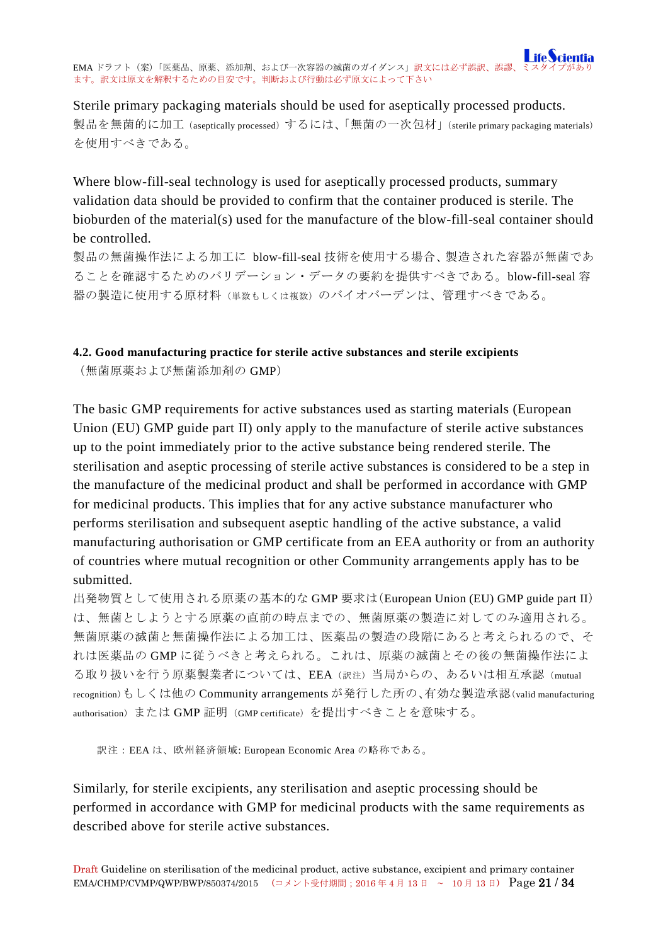Sterile primary packaging materials should be used for aseptically processed products. 製品を無菌的に加工 (aseptically processed) するには、「無菌の一次包材」(sterile primary packaging materials) を使用すべきである。

Where blow-fill-seal technology is used for aseptically processed products, summary validation data should be provided to confirm that the container produced is sterile. The bioburden of the material(s) used for the manufacture of the blow-fill-seal container should be controlled.

製品の無菌操作法による加工に blow-fill-seal 技術を使用する場合、製造された容器が無菌であ ることを確認するためのバリデーション・データの要約を提供すべきである。blow-fill-seal 容 器の製造に使用する原材料(単数もしくは複数)のバイオバーデンは、管理すべきである。

### <span id="page-20-0"></span>**4.2. Good manufacturing practice for sterile active substances and sterile excipients**

(無菌原薬および無菌添加剤の GMP)

The basic GMP requirements for active substances used as starting materials (European Union (EU) GMP guide part II) only apply to the manufacture of sterile active substances up to the point immediately prior to the active substance being rendered sterile. The sterilisation and aseptic processing of sterile active substances is considered to be a step in the manufacture of the medicinal product and shall be performed in accordance with GMP for medicinal products. This implies that for any active substance manufacturer who performs sterilisation and subsequent aseptic handling of the active substance, a valid manufacturing authorisation or GMP certificate from an EEA authority or from an authority of countries where mutual recognition or other Community arrangements apply has to be submitted.

出発物質として使用される原薬の基本的な GMP 要求は(European Union (EU) GMP guide part II) は、無菌としようとする原薬の直前の時点までの、無菌原薬の製造に対してのみ適用される。 無菌原薬の滅菌と無菌操作法による加工は、医薬品の製造の段階にあると考えられるので、そ れは医薬品の GMP に従うべきと考えられる。これは、原薬の滅菌とその後の無菌操作法によ る取り扱いを行う原薬製業者については、EEA(訳注)当局からの、あるいは相互承認(mutual recognition)もしくは他の Community arrangements が発行した所の、有効な製造承認(valid manufacturing authorisation)または GMP 証明(GMP certificate)を提出すべきことを意味する。

訳注:EEA は、欧州経済領域: European Economic Area の略称である。

Similarly, for sterile excipients, any sterilisation and aseptic processing should be performed in accordance with GMP for medicinal products with the same requirements as described above for sterile active substances.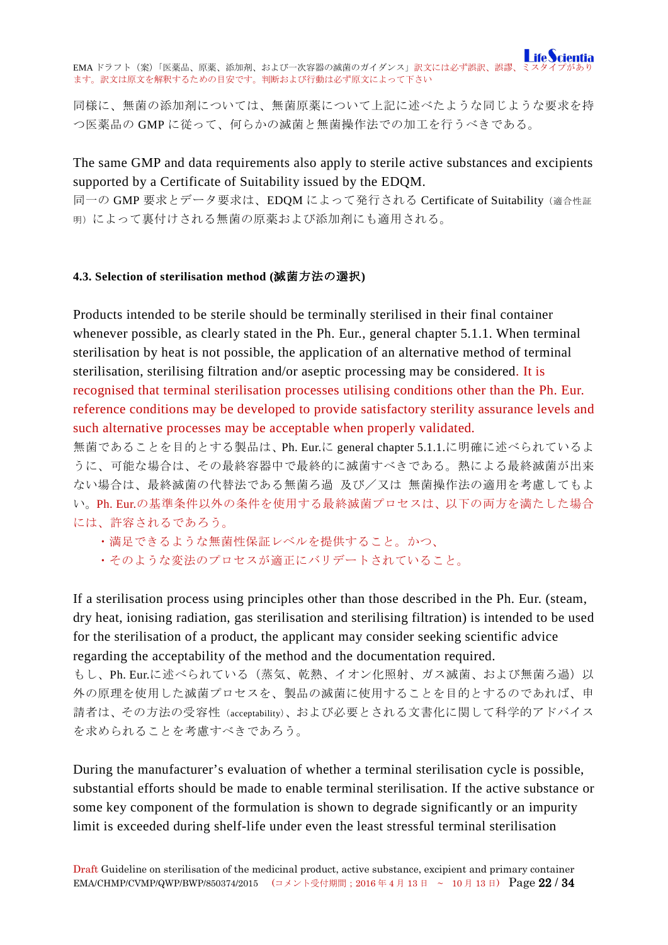同様に、無菌の添加剤については、無菌原薬について上記に述べたような同じような要求を持 つ医薬品の GMP に従って、何らかの滅菌と無菌操作法での加工を行うべきである。

The same GMP and data requirements also apply to sterile active substances and excipients supported by a Certificate of Suitability issued by the EDQM.

同一の GMP 要求とデータ要求は、EDQM によって発行される Certificate of Suitability(適合性証 明)によって裏付けされる無菌の原薬および添加剤にも適用される。

### <span id="page-21-0"></span>**4.3. Selection of sterilisation method (**滅菌方法の選択**)**

Products intended to be sterile should be terminally sterilised in their final container whenever possible, as clearly stated in the Ph. Eur., general chapter 5.1.1. When terminal sterilisation by heat is not possible, the application of an alternative method of terminal sterilisation, sterilising filtration and/or aseptic processing may be considered. It is recognised that terminal sterilisation processes utilising conditions other than the Ph. Eur. reference conditions may be developed to provide satisfactory sterility assurance levels and such alternative processes may be acceptable when properly validated.

無菌であることを目的とする製品は、Ph. Eur.に general chapter 5.1.1.に明確に述べられているよ うに、可能な場合は、その最終容器中で最終的に滅菌すべきである。熱による最終滅菌が出来 ない場合は、最終滅菌の代替法である無菌ろ過 及び/又は 無菌操作法の適用を考慮してもよ い。Ph. Eur.の基準条件以外の条件を使用する最終滅菌プロセスは、以下の両方を満たした場合 には、許容されるであろう。

- ・満足できるような無菌性保証レベルを提供すること。かつ、
- ・そのような変法のプロセスが適正にバリデートされていること。

If a sterilisation process using principles other than those described in the Ph. Eur. (steam, dry heat, ionising radiation, gas sterilisation and sterilising filtration) is intended to be used for the sterilisation of a product, the applicant may consider seeking scientific advice regarding the acceptability of the method and the documentation required.

もし、Ph. Eur.に述べられている(蒸気、乾熱、イオン化照射、ガス滅菌、および無菌ろ過)以 外の原理を使用した滅菌プロセスを、製品の滅菌に使用することを目的とするのであれば、申 請者は、その方法の受容性(acceptability)、および必要とされる文書化に関して科学的アドバイス を求められることを考慮すべきであろう。

During the manufacturer's evaluation of whether a terminal sterilisation cycle is possible, substantial efforts should be made to enable terminal sterilisation. If the active substance or some key component of the formulation is shown to degrade significantly or an impurity limit is exceeded during shelf-life under even the least stressful terminal sterilisation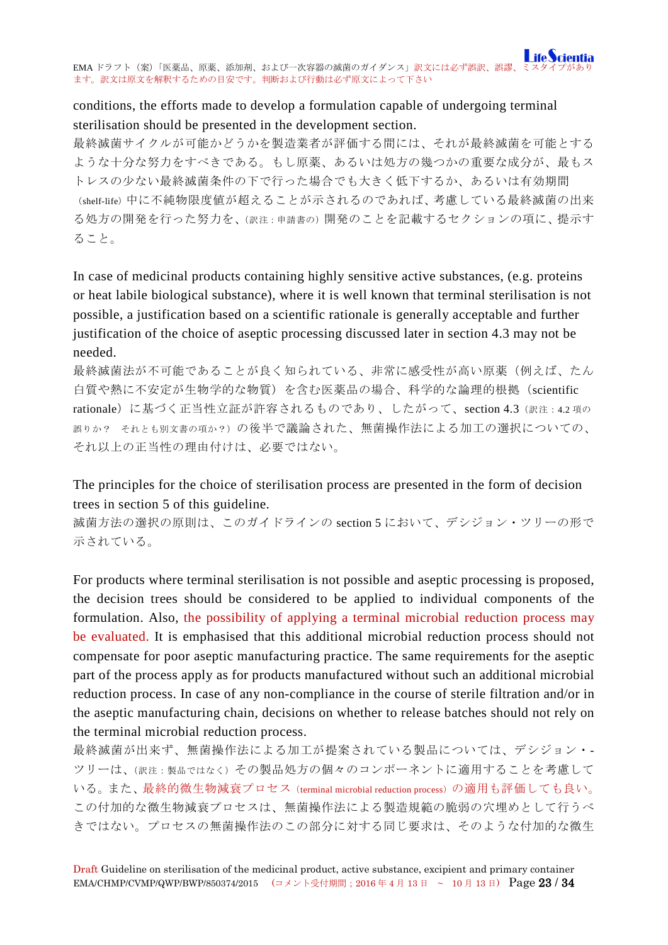# conditions, the efforts made to develop a formulation capable of undergoing terminal sterilisation should be presented in the development section.

最終滅菌サイクルが可能かどうかを製造業者が評価する間には、それが最終滅菌を可能とする ような十分な努力をすべきである。もし原薬、あるいは処方の幾つかの重要な成分が、最もス トレスの少ない最終滅菌条件の下で行った場合でも大きく低下するか、あるいは有効期間 (shelf-life)中に不純物限度値が超えることが示されるのであれば、考慮している最終滅菌の出来 る処方の開発を行った努力を、(訳注:申請書の)開発のことを記載するセクションの項に、提示す ること。

In case of medicinal products containing highly sensitive active substances, (e.g. proteins or heat labile biological substance), where it is well known that terminal sterilisation is not possible, a justification based on a scientific rationale is generally acceptable and further justification of the choice of aseptic processing discussed later in section 4.3 may not be needed.

最終滅菌法が不可能であることが良く知られている、非常に感受性が高い原薬(例えば、たん 白質や熱に不安定が生物学的な物質)を含む医薬品の場合、科学的な論理的根拠(scientific rationale)に基づく正当性立証が許容されるものであり、したがって、section 4.3(訳注:4.2 項の 誤りか? それとも別文書の項か?)の後半で議論された、無菌操作法による加工の選択についての、 それ以上の正当性の理由付けは、必要ではない。

The principles for the choice of sterilisation process are presented in the form of decision trees in section 5 of this guideline.

滅菌方法の選択の原則は、このガイドラインの section 5 において、デシジョン・ツリーの形で 示されている。

For products where terminal sterilisation is not possible and aseptic processing is proposed, the decision trees should be considered to be applied to individual components of the formulation. Also, the possibility of applying a terminal microbial reduction process may be evaluated. It is emphasised that this additional microbial reduction process should not compensate for poor aseptic manufacturing practice. The same requirements for the aseptic part of the process apply as for products manufactured without such an additional microbial reduction process. In case of any non-compliance in the course of sterile filtration and/or in the aseptic manufacturing chain, decisions on whether to release batches should not rely on the terminal microbial reduction process.

最終滅菌が出来ず、無菌操作法による加工が提案されている製品については、デシジョン・- ツリーは、(訳注:製品ではなく)その製品処方の個々のコンポーネントに適用することを考慮して いる。また、最終的微生物減衰プロセス(terminal microbial reduction process)の適用も評価しても良い。 この付加的な微生物減衰プロセスは、無菌操作法による製造規範の脆弱の穴埋めとして行うべ きではない。プロセスの無菌操作法のこの部分に対する同じ要求は、そのような付加的な微生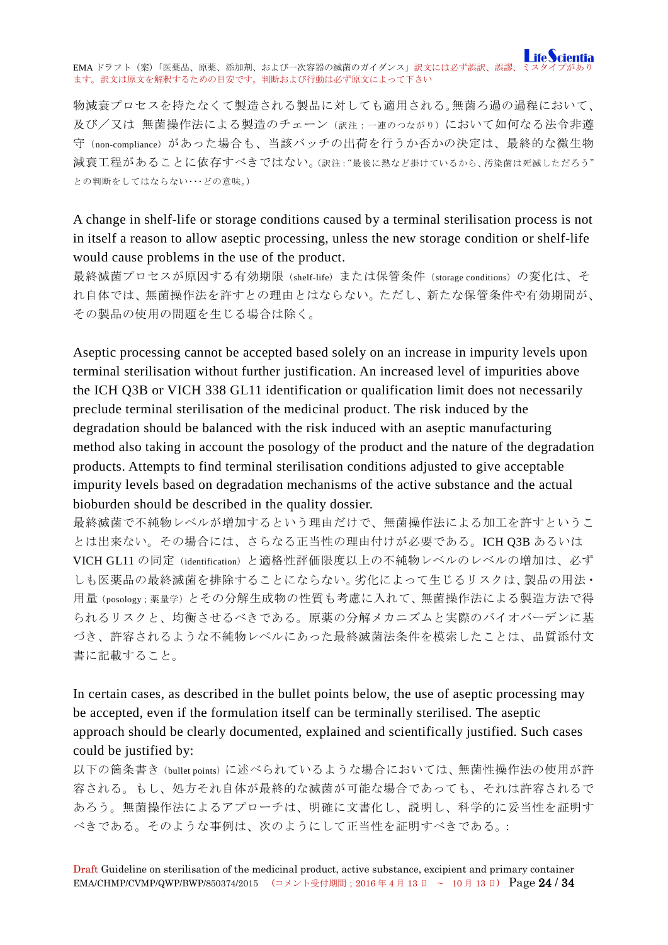物減衰プロセスを持たなくて製造される製品に対しても適用される。無菌ろ過の過程において、 及び/又は 無菌操作法による製造のチェーン(訳注:一連のつながり)において如何なる法令非遵 守(non-compliance)があった場合も、当該バッチの出荷を行うか否かの決定は、最終的な微生物 減衰工程があることに依存すべきではない。(訳注:"最後に熱など掛けているから、汚染菌は死滅しただろう" との判断をしてはならない・・・どの意味。)

A change in shelf-life or storage conditions caused by a terminal sterilisation process is not in itself a reason to allow aseptic processing, unless the new storage condition or shelf-life would cause problems in the use of the product.

最終滅菌プロセスが原因する有効期限(shelf-life)または保管条件(storage conditions)の変化は、そ れ自体では、無菌操作法を許すとの理由とはならない。ただし、新たな保管条件や有効期間が、 その製品の使用の問題を生じる場合は除く。

Aseptic processing cannot be accepted based solely on an increase in impurity levels upon terminal sterilisation without further justification. An increased level of impurities above the ICH Q3B or VICH 338 GL11 identification or qualification limit does not necessarily preclude terminal sterilisation of the medicinal product. The risk induced by the degradation should be balanced with the risk induced with an aseptic manufacturing method also taking in account the posology of the product and the nature of the degradation products. Attempts to find terminal sterilisation conditions adjusted to give acceptable impurity levels based on degradation mechanisms of the active substance and the actual bioburden should be described in the quality dossier.

最終滅菌で不純物レベルが増加するという理由だけで、無菌操作法による加工を許すというこ とは出来ない。その場合には、さらなる正当性の理由付けが必要である。ICH Q3B あるいは VICH GL11 の同定(identification)と適格性評価限度以上の不純物レベルのレベルの増加は、必ず しも医薬品の最終滅菌を排除することにならない。劣化によって生じるリスクは、製品の用法・ 用量(posology;薬量学)とその分解生成物の性質も考慮に入れて、無菌操作法による製造方法で得 られるリスクと、均衡させるべきである。原薬の分解メカニズムと実際のバイオバーデンに基 づき、許容されるような不純物レベルにあった最終滅菌法条件を模索したことは、品質添付文 書に記載すること。

In certain cases, as described in the bullet points below, the use of aseptic processing may be accepted, even if the formulation itself can be terminally sterilised. The aseptic approach should be clearly documented, explained and scientifically justified. Such cases could be justified by:

以下の箇条書き(bullet points)に述べられているような場合においては、無菌性操作法の使用が許 容される。もし、処方それ自体が最終的な滅菌が可能な場合であっても、それは許容されるで あろう。無菌操作法によるアプローチは、明確に文書化し、説明し、科学的に妥当性を証明す べきである。そのような事例は、次のようにして正当性を証明すべきである。: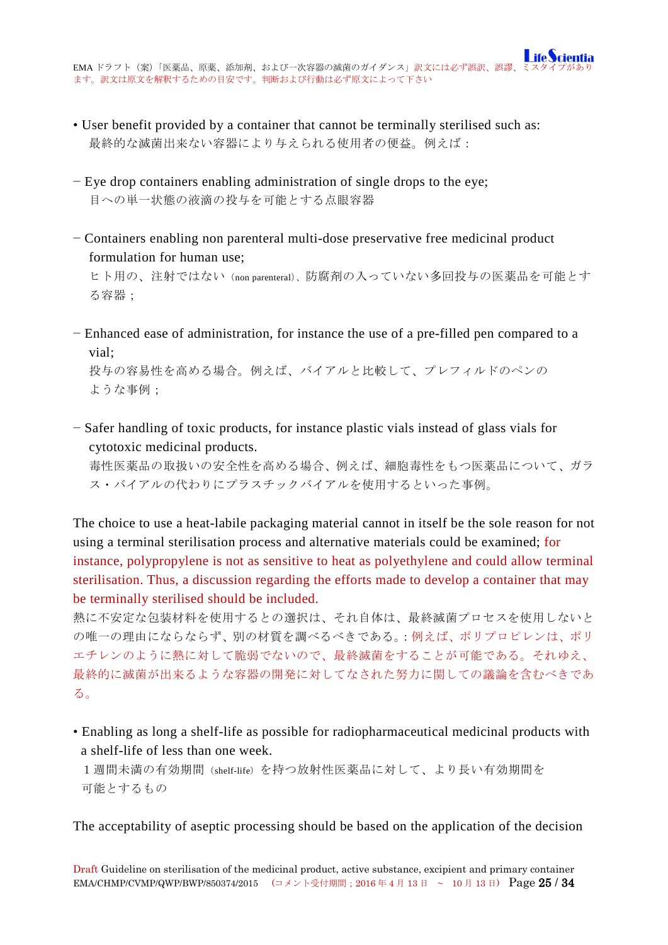- User benefit provided by a container that cannot be terminally sterilised such as: 最終的な滅菌出来ない容器により与えられる使用者の便益。例えば:
- − Eye drop containers enabling administration of single drops to the eye; 目への単一状態の液滴の投与を可能とする点眼容器
- − Containers enabling non parenteral multi-dose preservative free medicinal product formulation for human use;

ヒト用の、注射ではない(non parenteral)、防腐剤の入っていない多回投与の医薬品を可能とす る容器;

− Enhanced ease of administration, for instance the use of a pre-filled pen compared to a vial;

投与の容易性を高める場合。例えば、バイアルと比較して、プレフィルドのペンの ような事例;

− Safer handling of toxic products, for instance plastic vials instead of glass vials for cytotoxic medicinal products.

毒性医薬品の取扱いの安全性を高める場合、例えば、細胞毒性をもつ医薬品について、ガラ ス・バイアルの代わりにプラスチックバイアルを使用するといった事例。

The choice to use a heat-labile packaging material cannot in itself be the sole reason for not using a terminal sterilisation process and alternative materials could be examined; for instance, polypropylene is not as sensitive to heat as polyethylene and could allow terminal sterilisation. Thus, a discussion regarding the efforts made to develop a container that may be terminally sterilised should be included.

熱に不安定な包装材料を使用するとの選択は、それ自体は、最終滅菌プロセスを使用しないと の唯一の理由にならならず、別の材質を調べるべきである。:例えば、ポリプロピレンは、ポリ エチレンのように熱に対して脆弱でないので、最終滅菌をすることが可能である。それゆえ、 最終的に滅菌が出来るような容器の開発に対してなされた努力に関しての議論を含むべきであ る。

• Enabling as long a shelf-life as possible for radiopharmaceutical medicinal products with a shelf-life of less than one week.

1週間未満の有効期間(shelf-life)を持つ放射性医薬品に対して、より長い有効期間を 可能とするもの

The acceptability of aseptic processing should be based on the application of the decision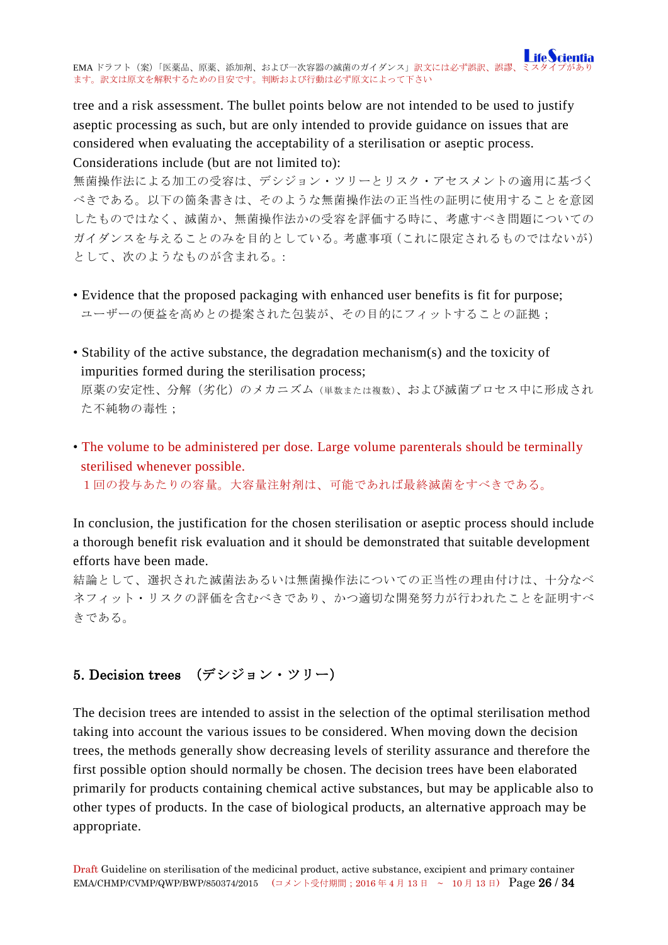tree and a risk assessment. The bullet points below are not intended to be used to justify aseptic processing as such, but are only intended to provide guidance on issues that are considered when evaluating the acceptability of a sterilisation or aseptic process. Considerations include (but are not limited to):

無菌操作法による加工の受容は、デシジョン・ツリーとリスク・アセスメントの適用に基づく べきである。以下の箇条書きは、そのような無菌操作法の正当性の証明に使用することを意図 したものではなく、滅菌か、無菌操作法かの受容を評価する時に、考慮すべき問題についての ガイダンスを与えることのみを目的としている。考慮事項(これに限定されるものではないが) として、次のようなものが含まれる。:

- Evidence that the proposed packaging with enhanced user benefits is fit for purpose; ユーザーの便益を高めとの提案された包装が、その目的にフィットすることの証拠;
- Stability of the active substance, the degradation mechanism(s) and the toxicity of impurities formed during the sterilisation process;

原薬の安定性、分解(劣化)のメカニズム(単数または複数)、および滅菌プロセス中に形成され た不純物の毒性;

• The volume to be administered per dose. Large volume parenterals should be terminally sterilised whenever possible.

1回の投与あたりの容量。大容量注射剤は、可能であれば最終滅菌をすべきである。

In conclusion, the justification for the chosen sterilisation or aseptic process should include a thorough benefit risk evaluation and it should be demonstrated that suitable development efforts have been made.

結論として、選択された滅菌法あるいは無菌操作法についての正当性の理由付けは、十分なベ ネフィット・リスクの評価を含むべきであり、かつ適切な開発努力が行われたことを証明すべ きである。

# <span id="page-25-0"></span>5. Decision trees (デシジョン・ツリー)

The decision trees are intended to assist in the selection of the optimal sterilisation method taking into account the various issues to be considered. When moving down the decision trees, the methods generally show decreasing levels of sterility assurance and therefore the first possible option should normally be chosen. The decision trees have been elaborated primarily for products containing chemical active substances, but may be applicable also to other types of products. In the case of biological products, an alternative approach may be appropriate.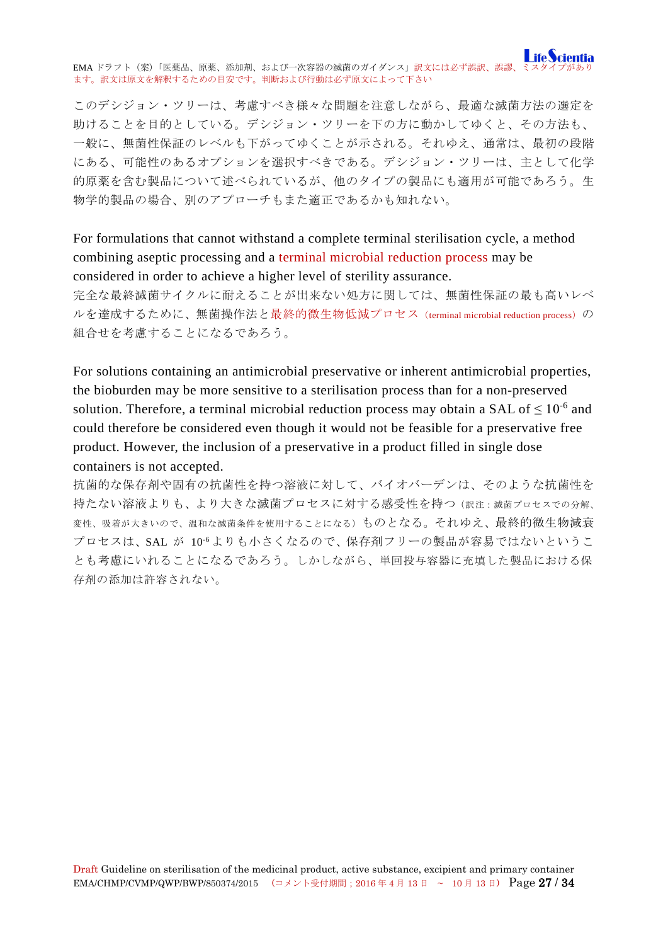このデシジョン・ツリーは、考慮すべき様々な問題を注意しながら、最適な滅菌方法の選定を 助けることを目的としている。デシジョン・ツリーを下の方に動かしてゆくと、その方法も、 一般に、無菌性保証のレベルも下がってゆくことが示される。それゆえ、通常は、最初の段階 にある、可能性のあるオプションを選択すべきである。デシジョン・ツリーは、主として化学 的原薬を含む製品について述べられているが、他のタイプの製品にも適用が可能であろう。生 物学的製品の場合、別のアプローチもまた適正であるかも知れない。

For formulations that cannot withstand a complete terminal sterilisation cycle, a method combining aseptic processing and a terminal microbial reduction process may be considered in order to achieve a higher level of sterility assurance.

完全な最終滅菌サイクルに耐えることが出来ない処方に関しては、無菌性保証の最も高いレベ ルを達成するために、無菌操作法と最終的微生物低減プロセス(terminal microbial reduction process)の 組合せを考慮することになるであろう。

For solutions containing an antimicrobial preservative or inherent antimicrobial properties, the bioburden may be more sensitive to a sterilisation process than for a non-preserved solution. Therefore, a terminal microbial reduction process may obtain a SAL of  $\leq 10^{-6}$  and could therefore be considered even though it would not be feasible for a preservative free product. However, the inclusion of a preservative in a product filled in single dose containers is not accepted.

抗菌的な保存剤や固有の抗菌性を持つ溶液に対して、バイオバーデンは、そのような抗菌性を 持たない溶液よりも、より大きな滅菌プロセスに対する感受性を持つ(訳注:滅菌プロセスでの分解、 変性、吸着が大きいので、温和な滅菌条件を使用することになる)ものとなる。それゆえ、最終的微生物減衰 プロセスは、SAL が 10<sup>-6</sup>よりも小さくなるので、保存剤フリーの製品が容易ではないというこ とも考慮にいれることになるであろう。しかしながら、単回投与容器に充填した製品における保 存剤の添加は許容されない。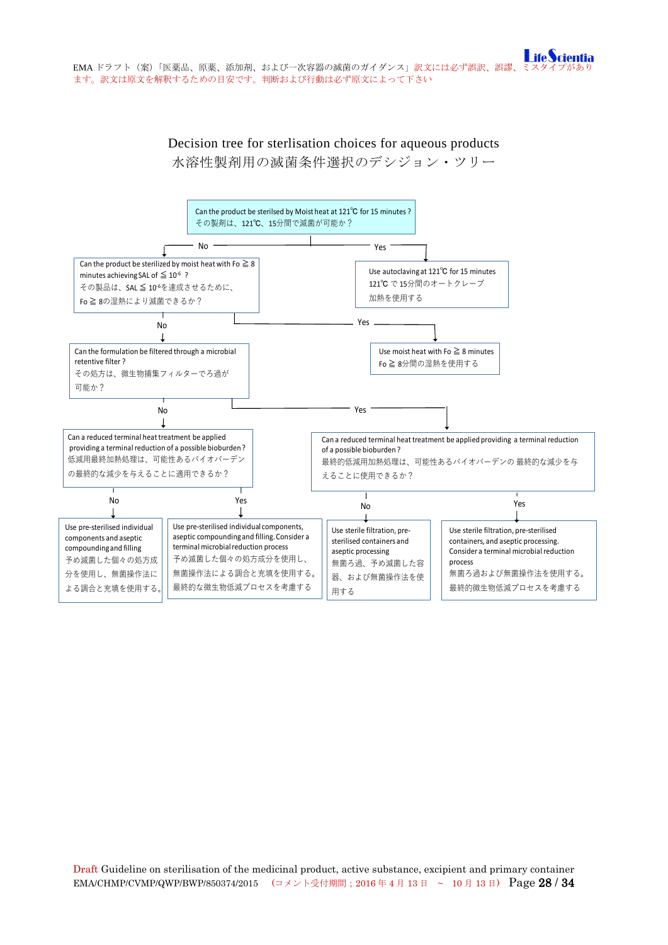# Decision tree for sterlisation choices for aqueous products 水溶性製剤用の滅菌条件選択のデシジョン・ツリー

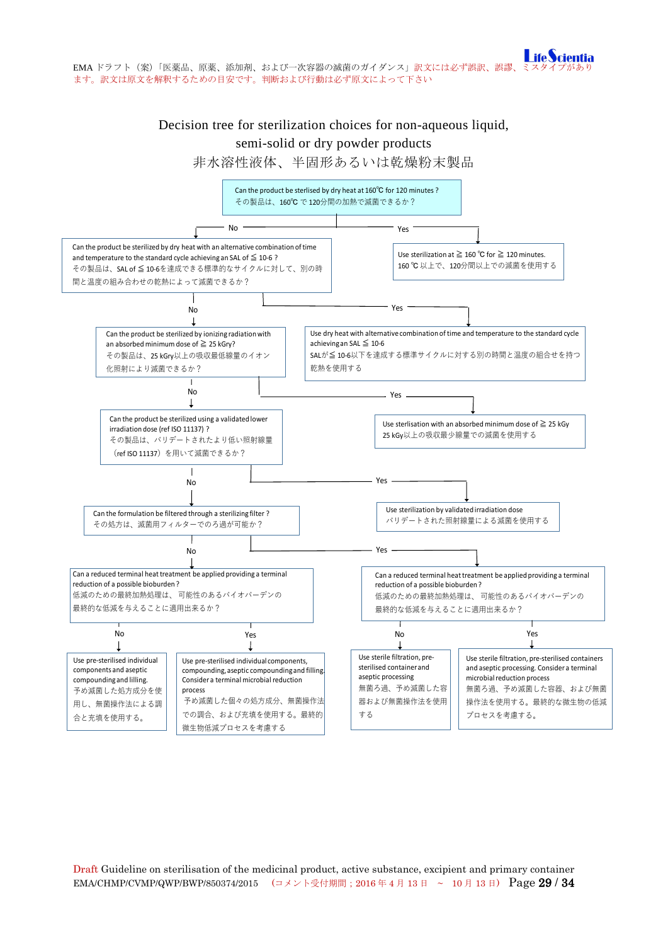# Decision tree for sterilization choices for non-aqueous liquid, semi-solid or dry powder products

非水溶性液体、半固形あるいは乾燥粉末製品



Draft Guideline on sterilisation of the medicinal product, active substance, excipient and primary container EMA/CHMP/CVMP/QWP/BWP/850374/2015 (コメント受付期間;2016年4月13日 ~ 10月13日) Page 29 / 34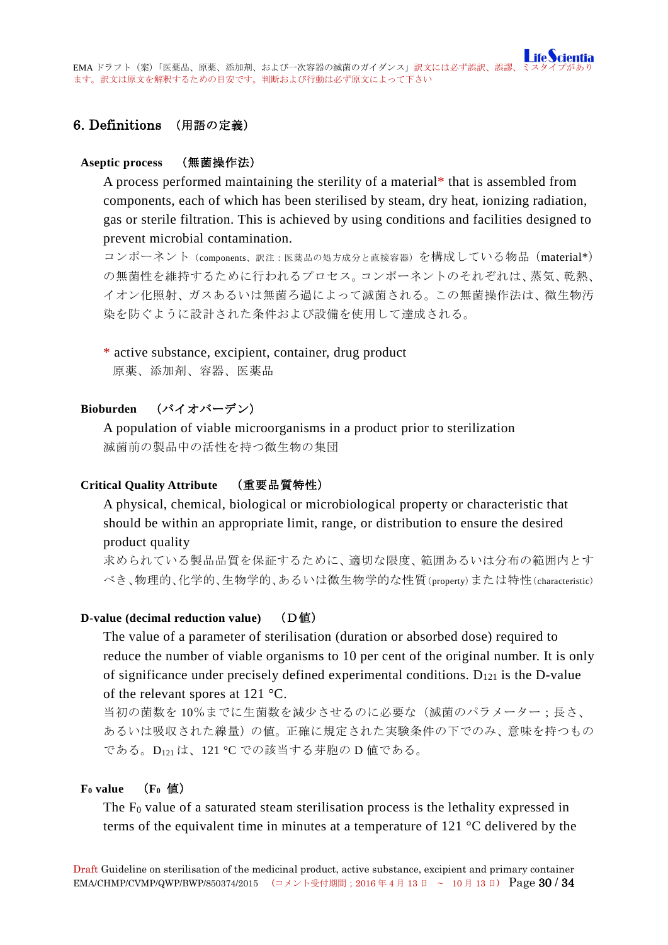# <span id="page-29-0"></span>6. Definitions (用語の定義)

### <span id="page-29-1"></span>**Aseptic process** (無菌操作法)

A process performed maintaining the sterility of a material\* that is assembled from components, each of which has been sterilised by steam, dry heat, ionizing radiation, gas or sterile filtration. This is achieved by using conditions and facilities designed to prevent microbial contamination.

コンポーネント (components、訳注: 医薬品の処方成分と直接容器)を構成している物品 (material\*) の無菌性を維持するために行われるプロセス。コンポーネントのそれぞれは、蒸気、乾熱、 イオン化照射、ガスあるいは無菌ろ過によって滅菌される。この無菌操作法は、微生物汚 染を防ぐように設計された条件および設備を使用して達成される。

### \* active substance, excipient, container, drug product

原薬、添加剤、容器、医薬品

### <span id="page-29-2"></span>**Bioburden** (バイオバーデン)

A population of viable microorganisms in a product prior to sterilization 滅菌前の製品中の活性を持つ微生物の集団

### <span id="page-29-3"></span>**Critical Quality Attribute** (重要品質特性)

A physical, chemical, biological or microbiological property or characteristic that should be within an appropriate limit, range, or distribution to ensure the desired product quality

求められている製品品質を保証するために、適切な限度、範囲あるいは分布の範囲内とす べき、物理的、化学的、生物学的、あるいは微生物学的な性質(property)または特性(characteristic)

### <span id="page-29-4"></span>**D-value (decimal reduction value)** (D値)

The value of a parameter of sterilisation (duration or absorbed dose) required to reduce the number of viable organisms to 10 per cent of the original number. It is only of significance under precisely defined experimental conditions.  $D_{121}$  is the D-value of the relevant spores at 121 °C.

当初の菌数を 10%までに生菌数を減少させるのに必要な(滅菌のパラメーター;長さ、 あるいは吸収された線量)の値。正確に規定された実験条件の下でのみ、意味を持つもの である。D121 は、121 °C での該当する芽胞の D 値である。

### <span id="page-29-5"></span>**F0 value** (**F0** 値)

The  $F_0$  value of a saturated steam sterilisation process is the lethality expressed in terms of the equivalent time in minutes at a temperature of 121 °C delivered by the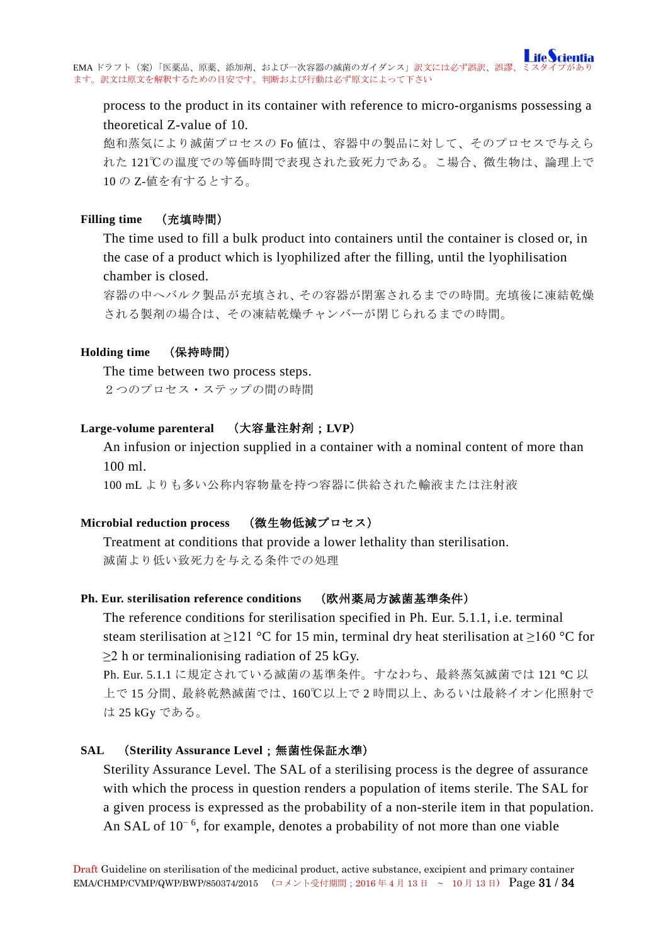process to the product in its container with reference to micro-organisms possessing a theoretical Z-value of 10.

飽和蒸気により滅菌プロセスの Fo 値は、容器中の製品に対して、そのプロセスで与えら れた 121℃の温度での等価時間で表現された致死力である。こ場合、微生物は、論理上で 10 の Z-値を有するとする。

### <span id="page-30-0"></span>**Filling time** (充填時間)

The time used to fill a bulk product into containers until the container is closed or, in the case of a product which is lyophilized after the filling, until the lyophilisation chamber is closed.

容器の中へバルク製品が充填され、その容器が閉塞されるまでの時間。充填後に凍結乾燥 される製剤の場合は、その凍結乾燥チャンバーが閉じられるまでの時間。

### <span id="page-30-1"></span>**Holding time** (保持時間)

The time between two process steps. 2つのプロセス・ステップの間の時間

### <span id="page-30-2"></span>**Large-volume parenteral** (大容量注射剤;**LVP**)

An infusion or injection supplied in a container with a nominal content of more than 100 ml.

100 mL よりも多い公称内容物量を持つ容器に供給された輸液または注射液

### <span id="page-30-3"></span>**Microbial reduction process** (微生物低減プロセス)

Treatment at conditions that provide a lower lethality than sterilisation. 滅菌より低い致死力を与える条件での処理

### <span id="page-30-4"></span>**Ph. Eur. sterilisation reference conditions** (欧州薬局方滅菌基準条件)

The reference conditions for sterilisation specified in Ph. Eur. 5.1.1, i.e. terminal steam sterilisation at  $\geq$ 121 °C for 15 min, terminal dry heat sterilisation at  $\geq$ 160 °C for  $\geq$ 2 h or terminalionising radiation of 25 kGy.

Ph. Eur. 5.1.1 に規定されている滅菌の基準条件。すなわち、最終蒸気滅菌では 121 °C 以 上で 15 分間、最終乾熱滅菌では、160℃以上で 2 時間以上、あるいは最終イオン化照射で は 25 kGy である。

### <span id="page-30-5"></span>**SAL** (**Sterility Assurance Level**;無菌性保証水準)

Sterility Assurance Level. The SAL of a sterilising process is the degree of assurance with which the process in question renders a population of items sterile. The SAL for a given process is expressed as the probability of a non-sterile item in that population. An SAL of  $10^{-6}$ , for example, denotes a probability of not more than one viable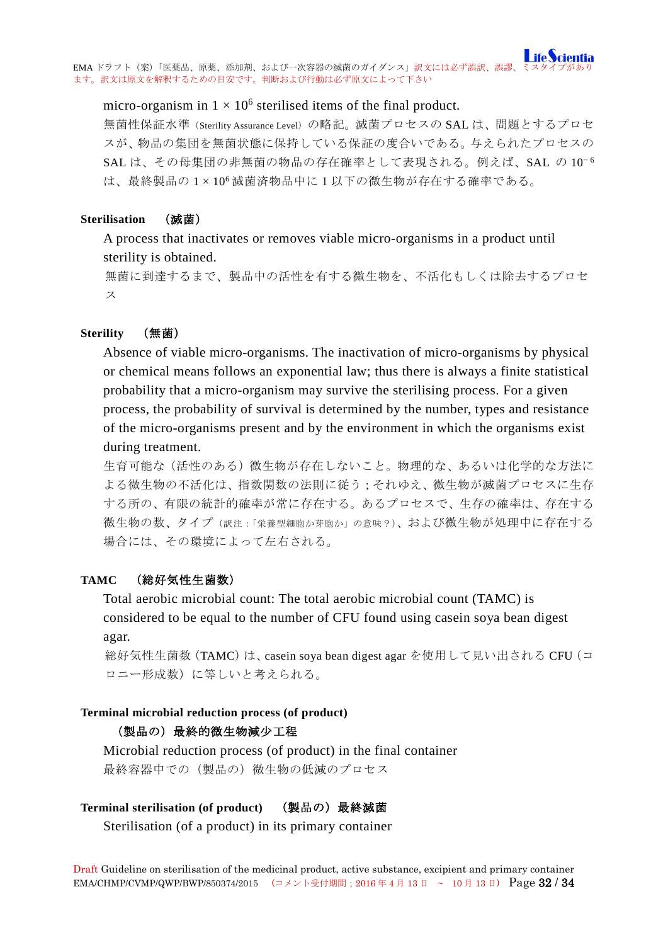### micro-organism in  $1 \times 10^6$  sterilised items of the final product.

無菌性保証水準 (Sterility Assurance Level)の略記。滅菌プロセスの SAL は、問題とするプロセ スが、物品の集団を無菌状態に保持している保証の度合いである。与えられたプロセスの SAL は、その母集団の非無菌の物品の存在確率として表現される。例えば、SAL の 10<sup>−6</sup> は、最終製品の 1 × 106 滅菌済物品中に1以下の微生物が存在する確率である。

### <span id="page-31-0"></span>**Sterilisation** (滅菌)

A process that inactivates or removes viable micro-organisms in a product until sterility is obtained.

無菌に到達するまで、製品中の活性を有する微生物を、不活化もしくは除去するプロセ ス

### <span id="page-31-1"></span>**Sterility** (無菌)

Absence of viable micro-organisms. The inactivation of micro-organisms by physical or chemical means follows an exponential law; thus there is always a finite statistical probability that a micro-organism may survive the sterilising process. For a given process, the probability of survival is determined by the number, types and resistance of the micro-organisms present and by the environment in which the organisms exist during treatment.

生育可能な(活性のある)微生物が存在しないこと。物理的な、あるいは化学的な方法に よる微生物の不活化は、指数関数の法則に従う;それゆえ、微生物が滅菌プロセスに生存 する所の、有限の統計的確率が常に存在する。あるプロセスで、生存の確率は、存在する 微生物の数、タイプ(訳注:「栄養型細胞か芽胞か」の意味?)、および微生物が処理中に存在する 場合には、その環境によって左右される。

### <span id="page-31-2"></span>**TAMC** (総好気性生菌数)

Total aerobic microbial count: The total aerobic microbial count (TAMC) is considered to be equal to the number of CFU found using casein soya bean digest agar.

総好気性生菌数 (TAMC) は、casein soya bean digest agar を使用して見い出される CFU (コ ロニー形成数)に等しいと考えられる。

### <span id="page-31-3"></span>**Terminal microbial reduction process (of product)**

### (製品の)最終的微生物減少工程

Microbial reduction process (of product) in the final container 最終容器中での(製品の)微生物の低減のプロセス

### <span id="page-31-4"></span>**Terminal sterilisation (of product)** (製品の)最終滅菌

Sterilisation (of a product) in its primary container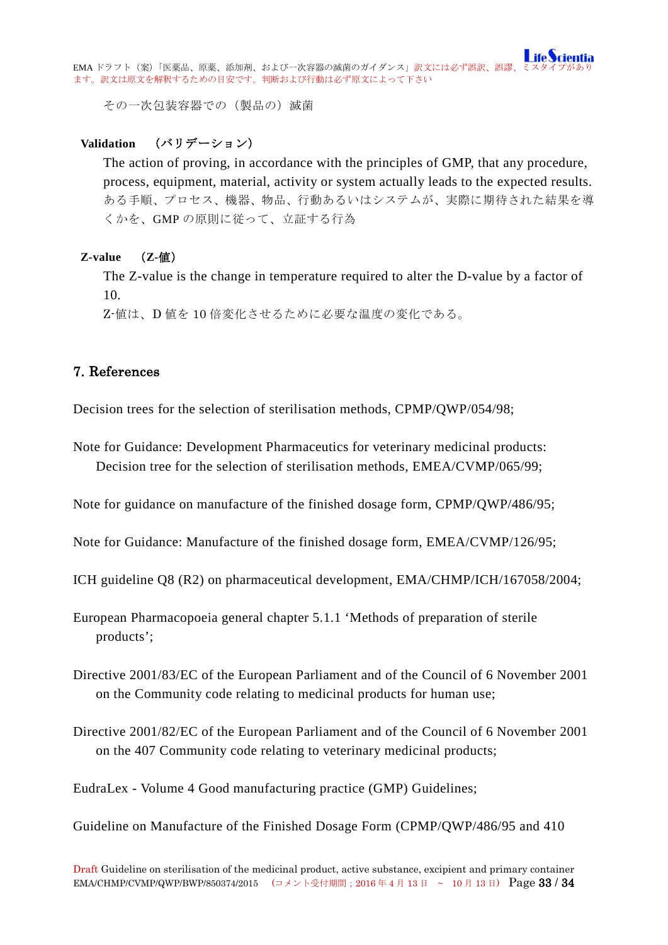その一次包装容器での(製品の)滅菌

### <span id="page-32-0"></span>**Validation** (バリデーション)

The action of proving, in accordance with the principles of GMP, that any procedure, process, equipment, material, activity or system actually leads to the expected results. ある手順、プロセス、機器、物品、行動あるいはシステムが、実際に期待された結果を導 くかを、GMP の原則に従って、立証する行為

### <span id="page-32-1"></span>**Z-value** (**Z-**値)

The Z-value is the change in temperature required to alter the D-value by a factor of 10.

Z-値は、D 値を 10 倍変化させるために必要な温度の変化である。

## <span id="page-32-2"></span>7. References

Decision trees for the selection of sterilisation methods, CPMP/QWP/054/98;

Note for Guidance: Development Pharmaceutics for veterinary medicinal products: Decision tree for the selection of sterilisation methods, EMEA/CVMP/065/99;

Note for guidance on manufacture of the finished dosage form, CPMP/QWP/486/95;

Note for Guidance: Manufacture of the finished dosage form, EMEA/CVMP/126/95;

ICH guideline Q8 (R2) on pharmaceutical development, EMA/CHMP/ICH/167058/2004;

European Pharmacopoeia general chapter 5.1.1 'Methods of preparation of sterile products';

- Directive 2001/83/EC of the European Parliament and of the Council of 6 November 2001 on the Community code relating to medicinal products for human use;
- Directive 2001/82/EC of the European Parliament and of the Council of 6 November 2001 on the 407 Community code relating to veterinary medicinal products;

EudraLex - Volume 4 Good manufacturing practice (GMP) Guidelines;

Guideline on Manufacture of the Finished Dosage Form (CPMP/QWP/486/95 and 410